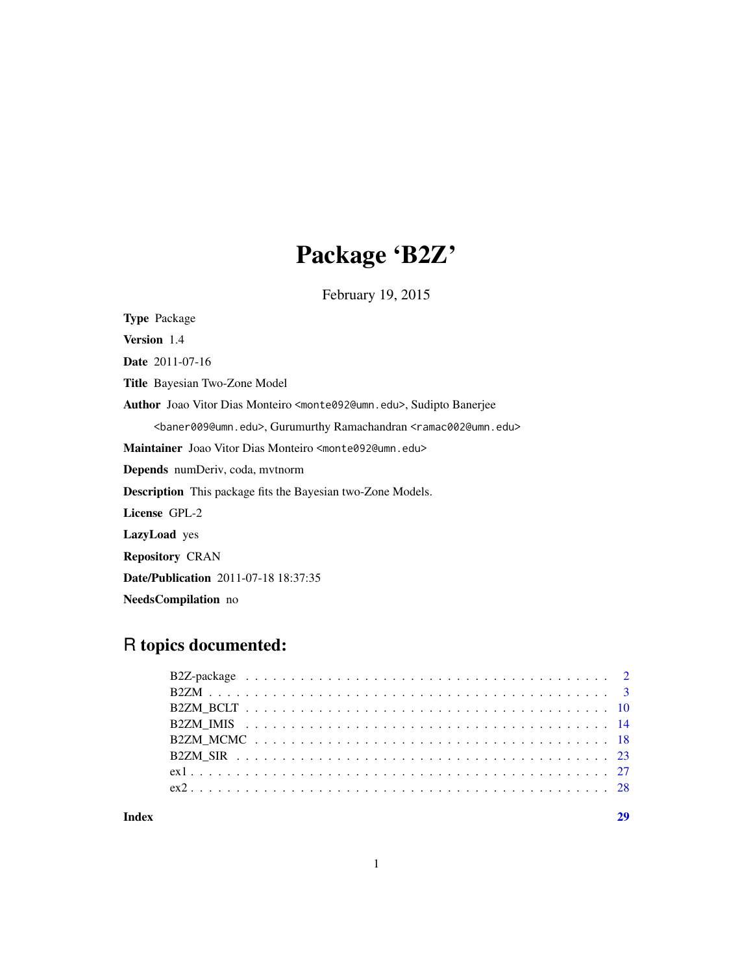# Package 'B2Z'

February 19, 2015

Type Package Version 1.4 Date 2011-07-16 Title Bayesian Two-Zone Model Author Joao Vitor Dias Monteiro <monte092@umn.edu>, Sudipto Banerjee <baner009@umn.edu>, Gurumurthy Ramachandran <ramac002@umn.edu> Maintainer Joao Vitor Dias Monteiro <monte092@umn.edu> Depends numDeriv, coda, mvtnorm Description This package fits the Bayesian two-Zone Models. License GPL-2 LazyLoad yes Repository CRAN Date/Publication 2011-07-18 18:37:35 NeedsCompilation no

# R topics documented:

**Index** [29](#page-28-0)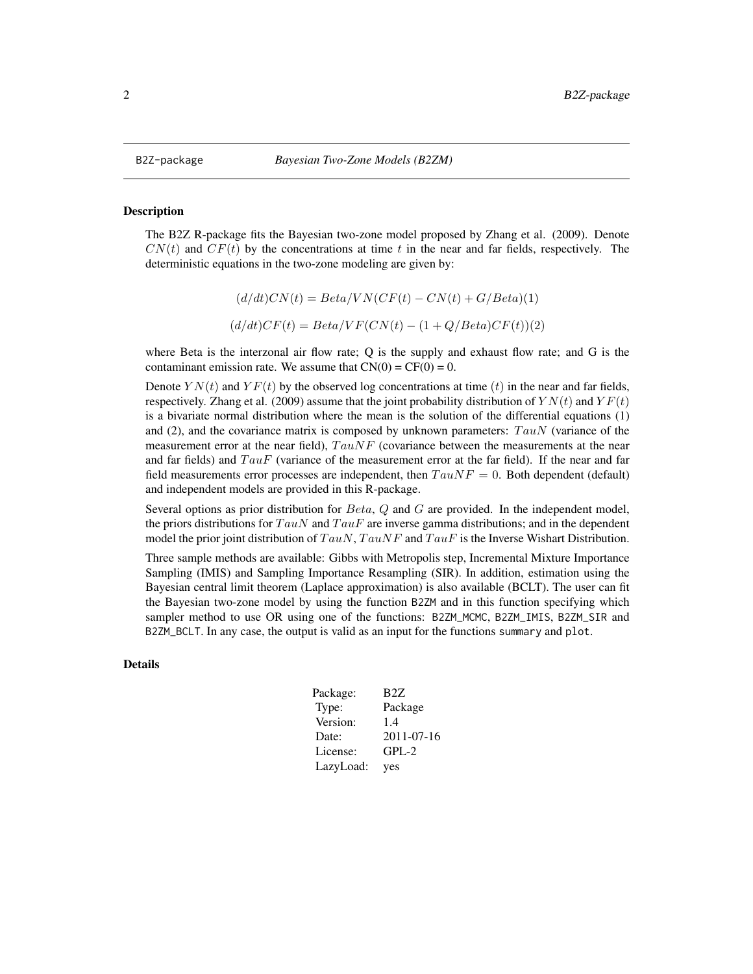#### <span id="page-1-1"></span><span id="page-1-0"></span>Description

The B2Z R-package fits the Bayesian two-zone model proposed by Zhang et al. (2009). Denote  $CN(t)$  and  $CF(t)$  by the concentrations at time t in the near and far fields, respectively. The deterministic equations in the two-zone modeling are given by:

$$
(d/dt)CN(t) = Beta/VN(CF(t) - CN(t) + G/Beta)(1)
$$

$$
(d/dt)CF(t) = Beta/VF(CN(t) - (1 + Q/Beta)CF(t))(2)
$$

where Beta is the interzonal air flow rate; Q is the supply and exhaust flow rate; and G is the contaminant emission rate. We assume that  $CN(0) = CF(0) = 0$ .

Denote  $YN(t)$  and  $YF(t)$  by the observed log concentrations at time (t) in the near and far fields, respectively. Zhang et al. (2009) assume that the joint probability distribution of  $YN(t)$  and  $YF(t)$ is a bivariate normal distribution where the mean is the solution of the differential equations (1) and (2), and the covariance matrix is composed by unknown parameters:  $TauN$  (variance of the measurement error at the near field),  $TauNF$  (covariance between the measurements at the near and far fields) and  $TauF$  (variance of the measurement error at the far field). If the near and far field measurements error processes are independent, then  $TauNF = 0$ . Both dependent (default) and independent models are provided in this R-package.

Several options as prior distribution for  $Beta$ ,  $Q$  and  $G$  are provided. In the independent model, the priors distributions for  $TauN$  and  $TauF$  are inverse gamma distributions; and in the dependent model the prior joint distribution of  $TauN$ ,  $TauNF$  and  $TauF$  is the Inverse Wishart Distribution.

Three sample methods are available: Gibbs with Metropolis step, Incremental Mixture Importance Sampling (IMIS) and Sampling Importance Resampling (SIR). In addition, estimation using the Bayesian central limit theorem (Laplace approximation) is also available (BCLT). The user can fit the Bayesian two-zone model by using the function B2ZM and in this function specifying which sampler method to use OR using one of the functions: B2ZM\_MCMC, B2ZM\_IMIS, B2ZM\_SIR and B2ZM\_BCLT. In any case, the output is valid as an input for the functions summary and plot.

# Details

| Package:  | B2Z              |
|-----------|------------------|
| Type:     | Package          |
| Version:  | 1.4              |
| Date:     | $2011 - 07 - 16$ |
| License:  | $GPL-2$          |
| LazyLoad: | yes              |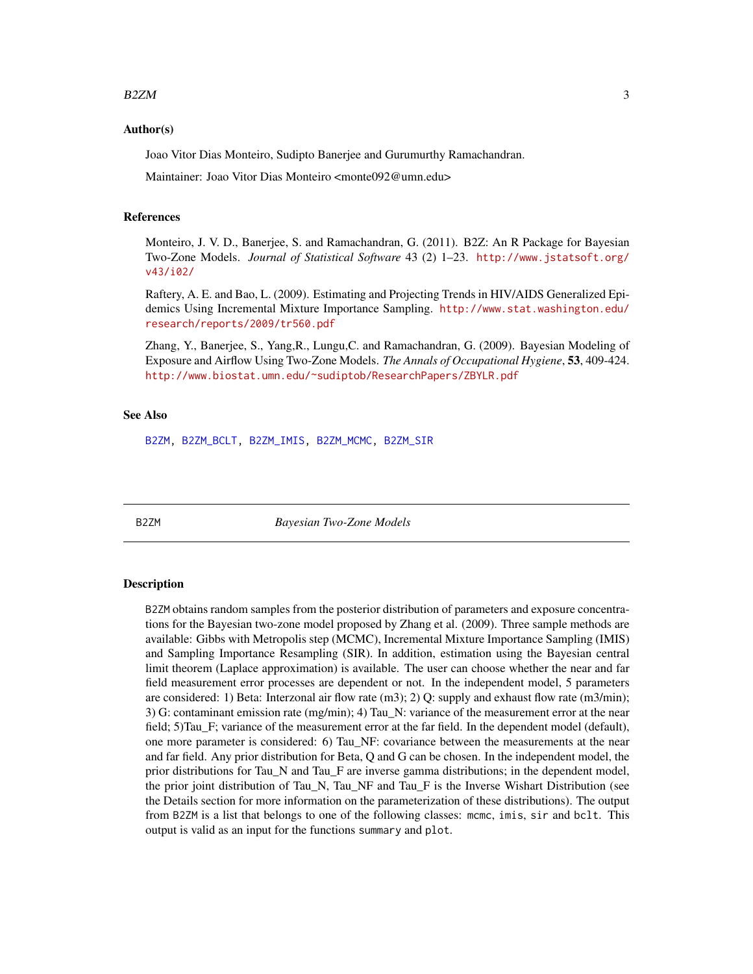#### <span id="page-2-0"></span> $B2ZM$  3

#### Author(s)

Joao Vitor Dias Monteiro, Sudipto Banerjee and Gurumurthy Ramachandran.

Maintainer: Joao Vitor Dias Monteiro <monte092@umn.edu>

#### References

Monteiro, J. V. D., Banerjee, S. and Ramachandran, G. (2011). B2Z: An R Package for Bayesian Two-Zone Models. *Journal of Statistical Software* 43 (2) 1–23. [http://www.jstatsoft.org/](http://www.jstatsoft.org/v43/i02/) [v43/i02/](http://www.jstatsoft.org/v43/i02/)

Raftery, A. E. and Bao, L. (2009). Estimating and Projecting Trends in HIV/AIDS Generalized Epidemics Using Incremental Mixture Importance Sampling. [http://www.stat.washington.edu/](http://www.stat.washington.edu/research/reports/2009/tr560.pdf) [research/reports/2009/tr560.pdf](http://www.stat.washington.edu/research/reports/2009/tr560.pdf)

Zhang, Y., Banerjee, S., Yang,R., Lungu,C. and Ramachandran, G. (2009). Bayesian Modeling of Exposure and Airflow Using Two-Zone Models. *The Annals of Occupational Hygiene*, 53, 409-424. [http://www.biostat.umn.edu/~sudiptob/ResearchPapers/ZBYLR.pdf]( http://www.biostat.umn.edu/~sudiptob/ResearchPapers/ZBYLR.pdf)

#### See Also

[B2ZM,](#page-2-1) [B2ZM\\_BCLT,](#page-9-1) [B2ZM\\_IMIS,](#page-13-1) [B2ZM\\_MCMC,](#page-17-1) [B2ZM\\_SIR](#page-22-1)

<span id="page-2-1"></span>

B2ZM *Bayesian Two-Zone Models*

### **Description**

B2ZM obtains random samples from the posterior distribution of parameters and exposure concentrations for the Bayesian two-zone model proposed by Zhang et al. (2009). Three sample methods are available: Gibbs with Metropolis step (MCMC), Incremental Mixture Importance Sampling (IMIS) and Sampling Importance Resampling (SIR). In addition, estimation using the Bayesian central limit theorem (Laplace approximation) is available. The user can choose whether the near and far field measurement error processes are dependent or not. In the independent model, 5 parameters are considered: 1) Beta: Interzonal air flow rate  $(m3)$ ; 2) Q: supply and exhaust flow rate  $(m3/min)$ ; 3) G: contaminant emission rate (mg/min); 4) Tau\_N: variance of the measurement error at the near field; 5)Tau\_F; variance of the measurement error at the far field. In the dependent model (default), one more parameter is considered: 6) Tau\_NF: covariance between the measurements at the near and far field. Any prior distribution for Beta, Q and G can be chosen. In the independent model, the prior distributions for Tau\_N and Tau\_F are inverse gamma distributions; in the dependent model, the prior joint distribution of Tau\_N, Tau\_NF and Tau\_F is the Inverse Wishart Distribution (see the Details section for more information on the parameterization of these distributions). The output from B2ZM is a list that belongs to one of the following classes: mcmc, imis, sir and bclt. This output is valid as an input for the functions summary and plot.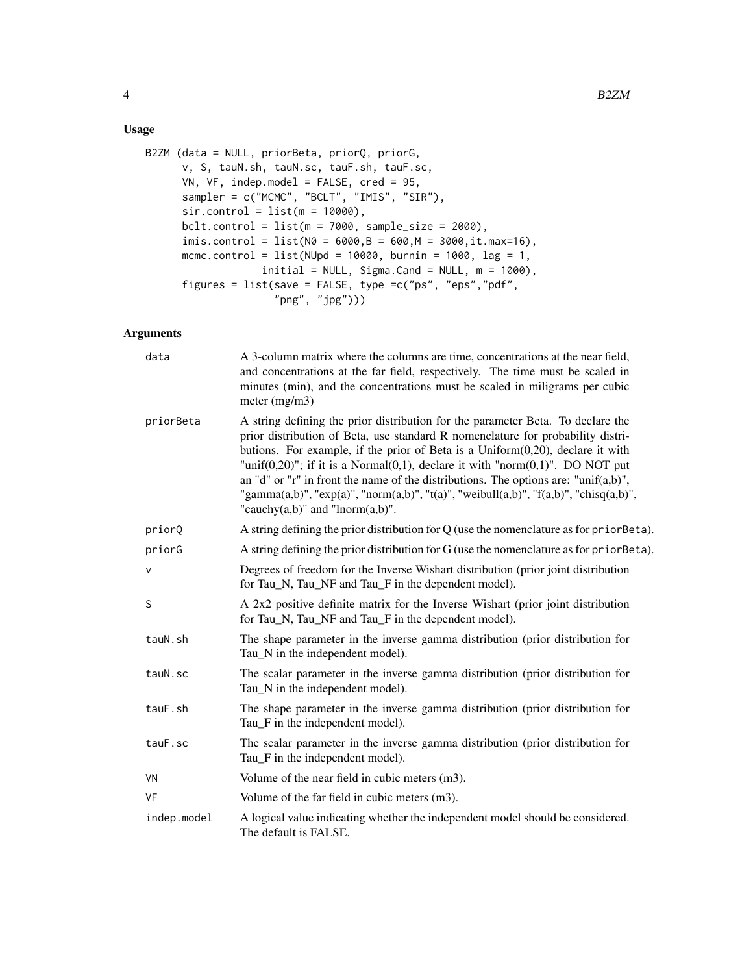# Usage

```
B2ZM (data = NULL, priorBeta, priorQ, priorG,
     v, S, tauN.sh, tauN.sc, tauF.sh, tauF.sc,
     VN, VF, indep.model = FALSE, cred = 95,
      sampler = c("MCMC", "BCLT", "IMIS", "SIR"),
      sir.control = list(m = 10000),bclt.control = list(m = 7000, sample_size = 2000),imis.control = list(N0 = 6000, B = 600, M = 3000, it.max=16),
     mcmc.control = list(NUpd = 10000, burnin = 1000, lag = 1,initial = NULL, Sigma.Cand = NULL, m = 1000,figures = list(save = FALSE, type =c("ps", "eps","pdf",
                     "png", "jpg")))
```
# Arguments

| data         | A 3-column matrix where the columns are time, concentrations at the near field,<br>and concentrations at the far field, respectively. The time must be scaled in<br>minutes (min), and the concentrations must be scaled in miligrams per cubic<br>meter $(mg/m3)$                                                                                                                                                                                                                                                                                                                 |
|--------------|------------------------------------------------------------------------------------------------------------------------------------------------------------------------------------------------------------------------------------------------------------------------------------------------------------------------------------------------------------------------------------------------------------------------------------------------------------------------------------------------------------------------------------------------------------------------------------|
| priorBeta    | A string defining the prior distribution for the parameter Beta. To declare the<br>prior distribution of Beta, use standard R nomenclature for probability distri-<br>butions. For example, if the prior of Beta is a $Uniform(0,20)$ , declare it with<br>"unif $(0,20)$ "; if it is a Normal $(0,1)$ , declare it with "norm $(0,1)$ ". DO NOT put<br>an "d" or "r" in front the name of the distributions. The options are: "unif $(a,b)$ ",<br>"gamma(a,b)", "exp(a)", "norm(a,b)", "t(a)", "weibull(a,b)", "f(a,b)", "chisq(a,b)",<br>"cauchy $(a,b)$ " and "lnorm $(a,b)$ ". |
| priorQ       | A string defining the prior distribution for $Q$ (use the nomenclature as for prior Beta).                                                                                                                                                                                                                                                                                                                                                                                                                                                                                         |
| priorG       | A string defining the prior distribution for G (use the nomenclature as for prior Beta).                                                                                                                                                                                                                                                                                                                                                                                                                                                                                           |
| $\mathsf{V}$ | Degrees of freedom for the Inverse Wishart distribution (prior joint distribution<br>for Tau_N, Tau_NF and Tau_F in the dependent model).                                                                                                                                                                                                                                                                                                                                                                                                                                          |
| S            | A 2x2 positive definite matrix for the Inverse Wishart (prior joint distribution<br>for Tau_N, Tau_NF and Tau_F in the dependent model).                                                                                                                                                                                                                                                                                                                                                                                                                                           |
| tauN.sh      | The shape parameter in the inverse gamma distribution (prior distribution for<br>Tau_N in the independent model).                                                                                                                                                                                                                                                                                                                                                                                                                                                                  |
| tauN.sc      | The scalar parameter in the inverse gamma distribution (prior distribution for<br>Tau_N in the independent model).                                                                                                                                                                                                                                                                                                                                                                                                                                                                 |
| tauF.sh      | The shape parameter in the inverse gamma distribution (prior distribution for<br>Tau_F in the independent model).                                                                                                                                                                                                                                                                                                                                                                                                                                                                  |
| tauF.sc      | The scalar parameter in the inverse gamma distribution (prior distribution for<br>Tau_F in the independent model).                                                                                                                                                                                                                                                                                                                                                                                                                                                                 |
| VN           | Volume of the near field in cubic meters (m3).                                                                                                                                                                                                                                                                                                                                                                                                                                                                                                                                     |
| <b>VF</b>    | Volume of the far field in cubic meters (m3).                                                                                                                                                                                                                                                                                                                                                                                                                                                                                                                                      |
| indep.model  | A logical value indicating whether the independent model should be considered.<br>The default is FALSE.                                                                                                                                                                                                                                                                                                                                                                                                                                                                            |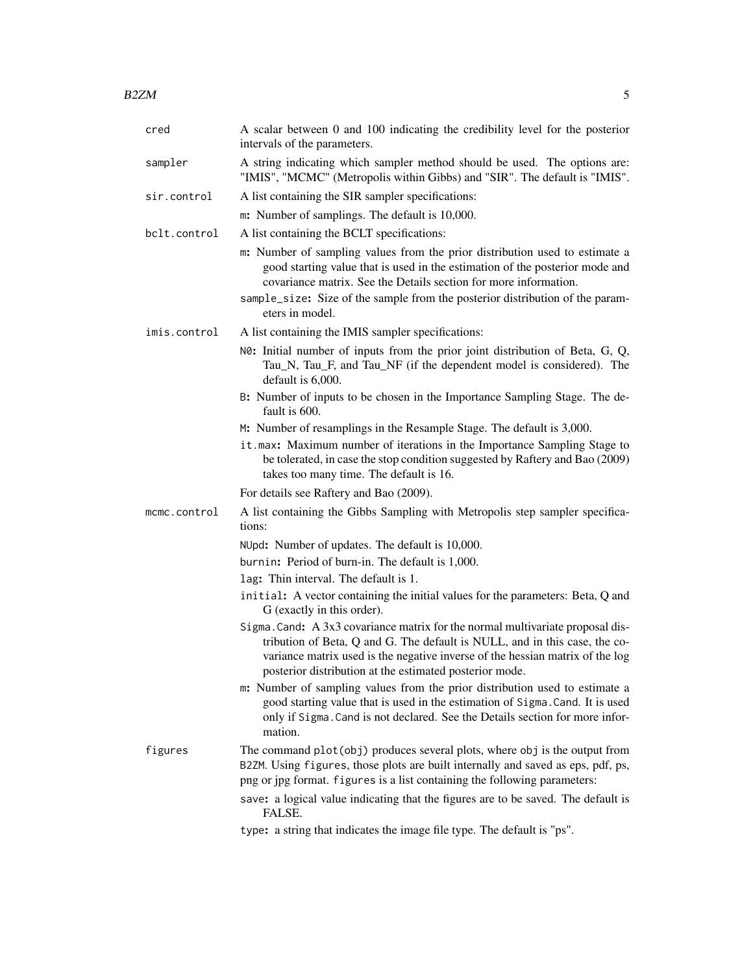| cred         | A scalar between 0 and 100 indicating the credibility level for the posterior<br>intervals of the parameters.                                                                                                                                                                                                                       |
|--------------|-------------------------------------------------------------------------------------------------------------------------------------------------------------------------------------------------------------------------------------------------------------------------------------------------------------------------------------|
| sampler      | A string indicating which sampler method should be used. The options are:<br>"IMIS", "MCMC" (Metropolis within Gibbs) and "SIR". The default is "IMIS".                                                                                                                                                                             |
| sir.control  | A list containing the SIR sampler specifications:                                                                                                                                                                                                                                                                                   |
|              | m: Number of samplings. The default is 10,000.                                                                                                                                                                                                                                                                                      |
| bclt.control | A list containing the BCLT specifications:                                                                                                                                                                                                                                                                                          |
|              | m: Number of sampling values from the prior distribution used to estimate a<br>good starting value that is used in the estimation of the posterior mode and<br>covariance matrix. See the Details section for more information.<br>sample_size: Size of the sample from the posterior distribution of the param-<br>eters in model. |
| imis.control | A list containing the IMIS sampler specifications:                                                                                                                                                                                                                                                                                  |
|              | NO: Initial number of inputs from the prior joint distribution of Beta, G, Q,<br>Tau_N, Tau_F, and Tau_NF (if the dependent model is considered). The<br>default is 6,000.                                                                                                                                                          |
|              | B: Number of inputs to be chosen in the Importance Sampling Stage. The de-<br>fault is 600.                                                                                                                                                                                                                                         |
|              | M: Number of resamplings in the Resample Stage. The default is 3,000.                                                                                                                                                                                                                                                               |
|              | it.max: Maximum number of iterations in the Importance Sampling Stage to<br>be tolerated, in case the stop condition suggested by Raftery and Bao (2009)<br>takes too many time. The default is 16.                                                                                                                                 |
|              | For details see Raftery and Bao (2009).                                                                                                                                                                                                                                                                                             |
| mcmc.control | A list containing the Gibbs Sampling with Metropolis step sampler specifica-<br>tions:                                                                                                                                                                                                                                              |
|              | NUpd: Number of updates. The default is 10,000.                                                                                                                                                                                                                                                                                     |
|              | burnin: Period of burn-in. The default is 1,000.                                                                                                                                                                                                                                                                                    |
|              | lag: Thin interval. The default is 1.                                                                                                                                                                                                                                                                                               |
|              | initial: A vector containing the initial values for the parameters: Beta, Q and<br>G (exactly in this order).                                                                                                                                                                                                                       |
|              | Sigma. Cand: A 3x3 covariance matrix for the normal multivariate proposal dis-<br>tribution of Beta, Q and G. The default is NULL, and in this case, the co-<br>variance matrix used is the negative inverse of the hessian matrix of the log<br>posterior distribution at the estimated posterior mode.                            |

m: Number of sampling values from the prior distribution used to estimate a good starting value that is used in the estimation of Sigma.Cand. It is used only if Sigma.Cand is not declared. See the Details section for more information.

figures The command plot(obj) produces several plots, where obj is the output from B2ZM. Using figures, those plots are built internally and saved as eps, pdf, ps, png or jpg format. figures is a list containing the following parameters:

> save: a logical value indicating that the figures are to be saved. The default is FALSE.

type: a string that indicates the image file type. The default is "ps".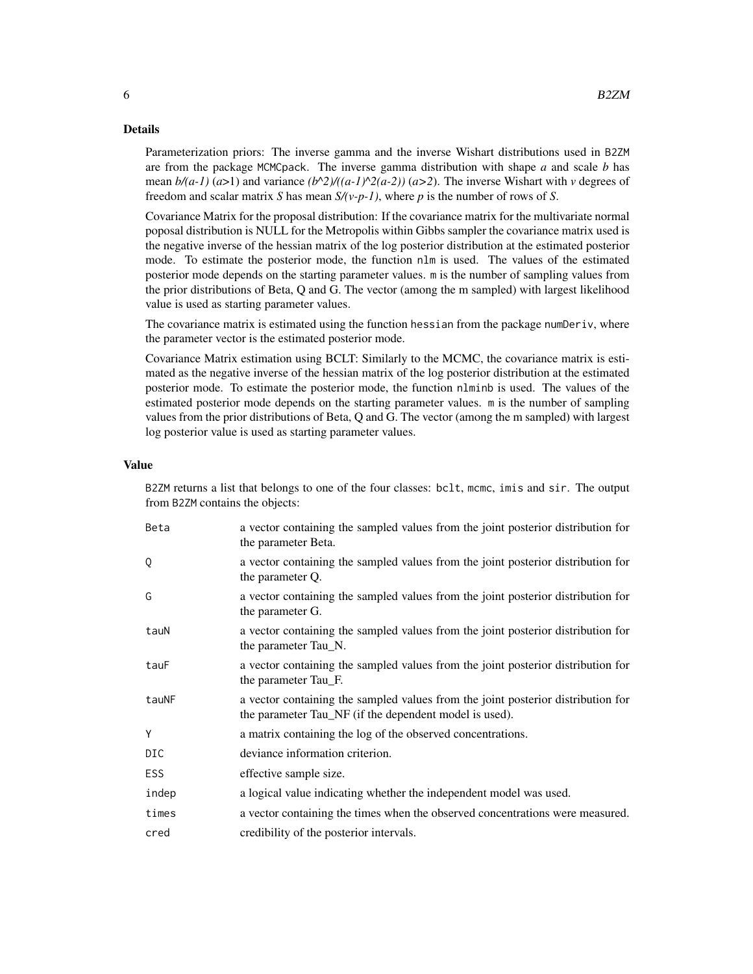# Details

Parameterization priors: The inverse gamma and the inverse Wishart distributions used in B2ZM are from the package MCMCpack. The inverse gamma distribution with shape *a* and scale *b* has mean  $b/(a-1)$  ( $a>1$ ) and variance  $(b^2)/((a-1)^2)(a-2)$ ) ( $a>2$ ). The inverse Wishart with *v* degrees of freedom and scalar matrix *S* has mean *S/(v-p-1)*, where *p* is the number of rows of *S*.

Covariance Matrix for the proposal distribution: If the covariance matrix for the multivariate normal poposal distribution is NULL for the Metropolis within Gibbs sampler the covariance matrix used is the negative inverse of the hessian matrix of the log posterior distribution at the estimated posterior mode. To estimate the posterior mode, the function nlm is used. The values of the estimated posterior mode depends on the starting parameter values. m is the number of sampling values from the prior distributions of Beta, Q and G. The vector (among the m sampled) with largest likelihood value is used as starting parameter values.

The covariance matrix is estimated using the function hessian from the package numDeriv, where the parameter vector is the estimated posterior mode.

Covariance Matrix estimation using BCLT: Similarly to the MCMC, the covariance matrix is estimated as the negative inverse of the hessian matrix of the log posterior distribution at the estimated posterior mode. To estimate the posterior mode, the function nlminb is used. The values of the estimated posterior mode depends on the starting parameter values. m is the number of sampling values from the prior distributions of Beta, Q and G. The vector (among the m sampled) with largest log posterior value is used as starting parameter values.

#### Value

B2ZM returns a list that belongs to one of the four classes: bclt, mcmc, imis and sir. The output from B2ZM contains the objects:

| Beta       | a vector containing the sampled values from the joint posterior distribution for<br>the parameter Beta.                                    |
|------------|--------------------------------------------------------------------------------------------------------------------------------------------|
| Q          | a vector containing the sampled values from the joint posterior distribution for<br>the parameter Q.                                       |
| G          | a vector containing the sampled values from the joint posterior distribution for<br>the parameter G.                                       |
| tauN       | a vector containing the sampled values from the joint posterior distribution for<br>the parameter Tau_N.                                   |
| tauF       | a vector containing the sampled values from the joint posterior distribution for<br>the parameter Tau_F.                                   |
| tauNF      | a vector containing the sampled values from the joint posterior distribution for<br>the parameter Tau_NF (if the dependent model is used). |
| Y          | a matrix containing the log of the observed concentrations.                                                                                |
| DIC        | deviance information criterion.                                                                                                            |
| <b>ESS</b> | effective sample size.                                                                                                                     |
| indep      | a logical value indicating whether the independent model was used.                                                                         |
| times      | a vector containing the times when the observed concentrations were measured.                                                              |
| cred       | credibility of the posterior intervals.                                                                                                    |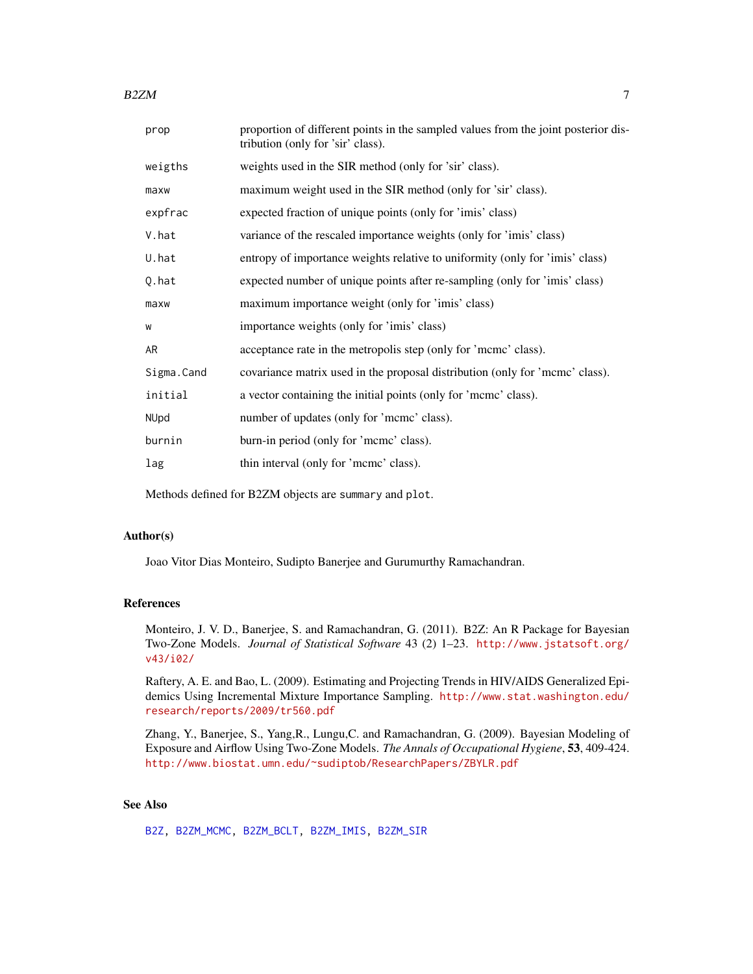<span id="page-6-0"></span> $B2ZM$   $7$ 

| prop       | proportion of different points in the sampled values from the joint posterior dis-<br>tribution (only for 'sir' class). |
|------------|-------------------------------------------------------------------------------------------------------------------------|
| weigths    | weights used in the SIR method (only for 'sir' class).                                                                  |
| maxw       | maximum weight used in the SIR method (only for 'sir' class).                                                           |
| expfrac    | expected fraction of unique points (only for 'imis' class)                                                              |
| V.hat      | variance of the rescaled importance weights (only for 'imis' class)                                                     |
| U.hat      | entropy of importance weights relative to uniformity (only for 'imis' class)                                            |
| Q.hat      | expected number of unique points after re-sampling (only for 'imis' class)                                              |
| maxw       | maximum importance weight (only for 'imis' class)                                                                       |
| W          | importance weights (only for 'imis' class)                                                                              |
| AR         | acceptance rate in the metropolis step (only for 'mcmc' class).                                                         |
| Sigma.Cand | covariance matrix used in the proposal distribution (only for 'mcmc' class).                                            |
| initial    | a vector containing the initial points (only for 'mcmc' class).                                                         |
| NUpd       | number of updates (only for 'mcmc' class).                                                                              |
| burnin     | burn-in period (only for 'mcmc' class).                                                                                 |
| lag        | thin interval (only for 'meme' class).                                                                                  |
|            |                                                                                                                         |

Methods defined for B2ZM objects are summary and plot.

#### Author(s)

Joao Vitor Dias Monteiro, Sudipto Banerjee and Gurumurthy Ramachandran.

## References

Monteiro, J. V. D., Banerjee, S. and Ramachandran, G. (2011). B2Z: An R Package for Bayesian Two-Zone Models. *Journal of Statistical Software* 43 (2) 1–23. [http://www.jstatsoft.org/](http://www.jstatsoft.org/v43/i02/) [v43/i02/](http://www.jstatsoft.org/v43/i02/)

Raftery, A. E. and Bao, L. (2009). Estimating and Projecting Trends in HIV/AIDS Generalized Epidemics Using Incremental Mixture Importance Sampling. [http://www.stat.washington.edu/](http://www.stat.washington.edu/research/reports/2009/tr560.pdf) [research/reports/2009/tr560.pdf](http://www.stat.washington.edu/research/reports/2009/tr560.pdf)

Zhang, Y., Banerjee, S., Yang,R., Lungu,C. and Ramachandran, G. (2009). Bayesian Modeling of Exposure and Airflow Using Two-Zone Models. *The Annals of Occupational Hygiene*, 53, 409-424. [http://www.biostat.umn.edu/~sudiptob/ResearchPapers/ZBYLR.pdf]( http://www.biostat.umn.edu/~sudiptob/ResearchPapers/ZBYLR.pdf)

# See Also

[B2Z,](#page-1-1) [B2ZM\\_MCMC,](#page-17-1) [B2ZM\\_BCLT,](#page-9-1) [B2ZM\\_IMIS,](#page-13-1) [B2ZM\\_SIR](#page-22-1)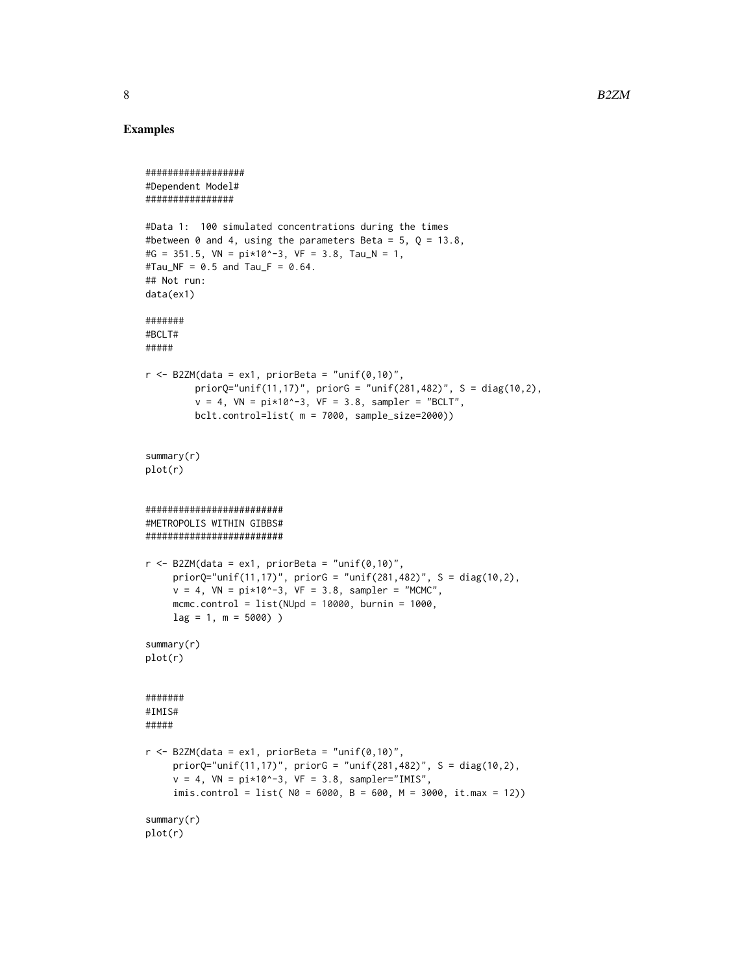# Examples

```
##################
#Dependent Model#
################
#Data 1: 100 simulated concentrations during the times
#between 0 and 4, using the parameters Beta = 5, 0 = 13.8,
#G = 351.5, VN = pi*10^{\wedge}-3, VF = 3.8, Tau_N = 1,
#Tau_NF = 0.5 and Tau_F = 0.64.
## Not run:
data(ex1)
#######
#BCLT#
#####
r <- B2ZM(data = ex1, priorBeta = "unif(0,10)",
         priorQ="unif(11,17)", priorG = "unif(281,482)", S = diag(10,2),
         v = 4, VN = pi*10^{\circ}-3, VF = 3.8, sampler = "BCLT",
         bclt.control=list( m = 7000, sample_size=2000))
summary(r)
plot(r)
#########################
#METROPOLIS WITHIN GIBBS#
#########################
r <- B2ZM(data = ex1, priorBeta = "unif(0,10)",
     priorQ="unif(11,17)", priorG = "unif(281,482)", S = diag(10,2),
     v = 4, VN = pi*10^{\circ}-3, VF = 3.8, sampler = "MCMC",
     mcmc.control = list(NUpd = 10000, burnin = 1000,lag = 1, m = 5000)summary(r)
plot(r)
#######
#IMIS#
#####
r <- B2ZM(data = ex1, priorBeta = "unif(0,10)",
     priorQ="unif(11,17)', priorG = "unif(281,482)', S = diag(10,2),
     v = 4, VN = pi*10*-3, VF = 3.8, sampler="IMIS",
     imis.control = list(M = 6000, B = 600, M = 3000, it.max = 12))summary(r)
plot(r)
```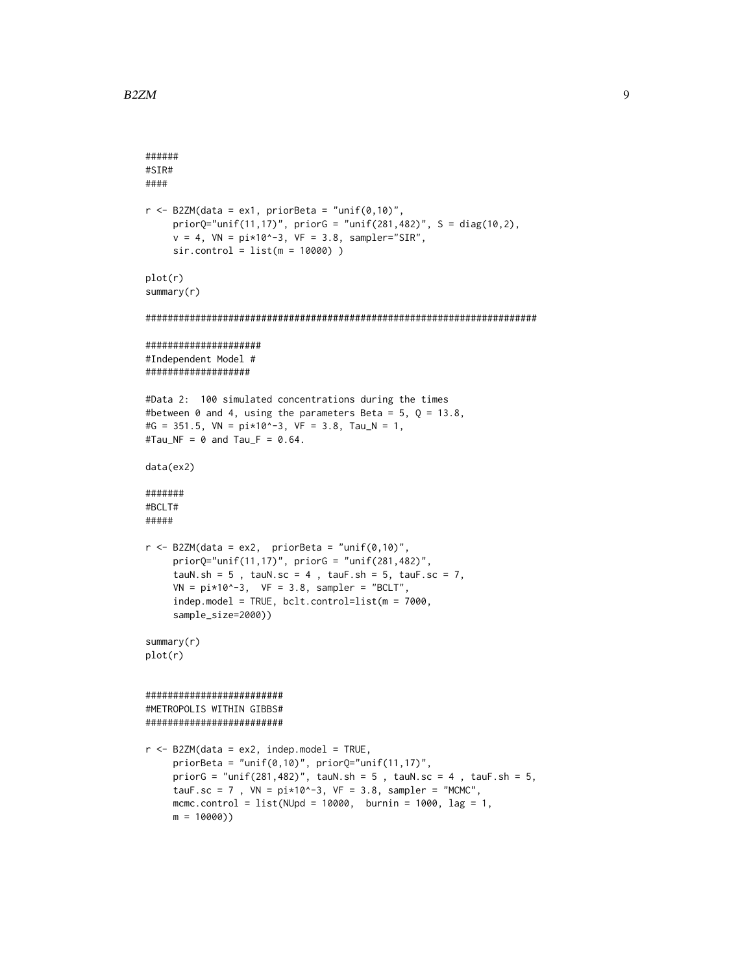```
######
#SIR#
####
r <- B2ZM(data = ex1, priorBeta = "unif(0,10)",
     priorQ="unif(11,17)", priorG = "unif(281,482)", S = diag(10,2),
     v = 4, VN = pi*10*-3, VF = 3.8, sampler="SIR",
     sir.control = list(m = 10000) )
plot(r)
summary(r)
#######################################################################
#####################
#Independent Model #
###################
#Data 2: 100 simulated concentrations during the times
#between 0 and 4, using the parameters Beta = 5, Q = 13.8,
#G = 351.5, VN = pi*10^{\wedge}-3, VF = 3.8, Tau_N = 1,
#Tau_NF = \theta and Tau_F = \theta.64.
data(ex2)
#######
#BCLT#
#####
r <- B2ZM(data = ex2, priorBeta = "unif(0,10)",
     priorQ="unif(11,17)", priorG = "unif(281,482)",
     tauN.sh = 5, tauN.sc = 4, tauF.sh = 5, tauF.sc = 7,
     VN = pi*10*-3, VF = 3.8, sampler = "BCLT",
     indep.model = TRUE, bclt.control=list(m = 7000,
     sample_size=2000))
summary(r)
plot(r)
#########################
#METROPOLIS WITHIN GIBBS#
#########################
r <- B2ZM(data = ex2, indep.model = TRUE,
     priorBeta = "unif(0,10)", priorQ="unif(11,17)",
     priorG = "unif(281,482)", tauN.sh = 5, tauN.sc = 4, tauF.sh = 5,
     tauF.sc = 7, VN = pi*10^{\circ}-3, VF = 3.8, sampler = "MCMC",
     mcmc.control = list(NUpd = 10000, \text{burnin} = 1000, \text{lag} = 1,m = 10000)
```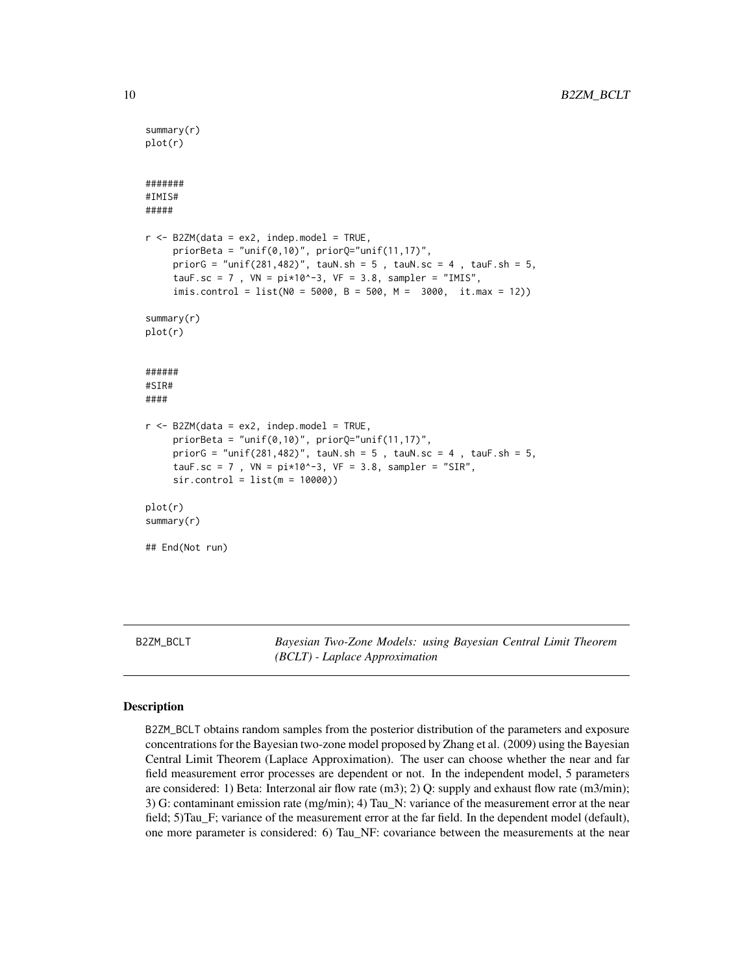```
summary(r)
plot(r)
#######
#IMIS#
#####
r <- B2ZM(data = ex2, indep.model = TRUE,
     priorBeta = "unif(0,10)", priorQ="unif(11,17)",
     priorG = "unif(281,482)", tauN.sh = 5, tauN.sc = 4, tauF.sh = 5,
     tauF.sc = 7, VN = pi*10^{\circ}-3, VF = 3.8, sampler = "IMIS",
     imis.control = list(N0 = 5000, B = 500, M = 3000, it.max = 12))summary(r)
plot(r)
######
#SIR#
####
r <- B2ZM(data = ex2, indep.model = TRUE,
     priorBeta = "unif(0,10)", priorQ="unif(11,17)',
     priorG = "unif(281,482)", tauN.sh = 5, tauN.sc = 4, tauF.sh = 5,
     tauF.sc = 7, VN = pi*10^{\circ}-3, VF = 3.8, sampler = "SIR",
     sir.control = list(m = 10000))plot(r)
summary(r)
## End(Not run)
```
<span id="page-9-1"></span>

B2ZM\_BCLT *Bayesian Two-Zone Models: using Bayesian Central Limit Theorem (BCLT) - Laplace Approximation*

## Description

B2ZM\_BCLT obtains random samples from the posterior distribution of the parameters and exposure concentrations for the Bayesian two-zone model proposed by Zhang et al. (2009) using the Bayesian Central Limit Theorem (Laplace Approximation). The user can choose whether the near and far field measurement error processes are dependent or not. In the independent model, 5 parameters are considered: 1) Beta: Interzonal air flow rate  $(m3)$ ; 2) Q: supply and exhaust flow rate  $(m3/min)$ ; 3) G: contaminant emission rate (mg/min); 4) Tau\_N: variance of the measurement error at the near field; 5)Tau\_F; variance of the measurement error at the far field. In the dependent model (default), one more parameter is considered: 6) Tau\_NF: covariance between the measurements at the near

<span id="page-9-0"></span>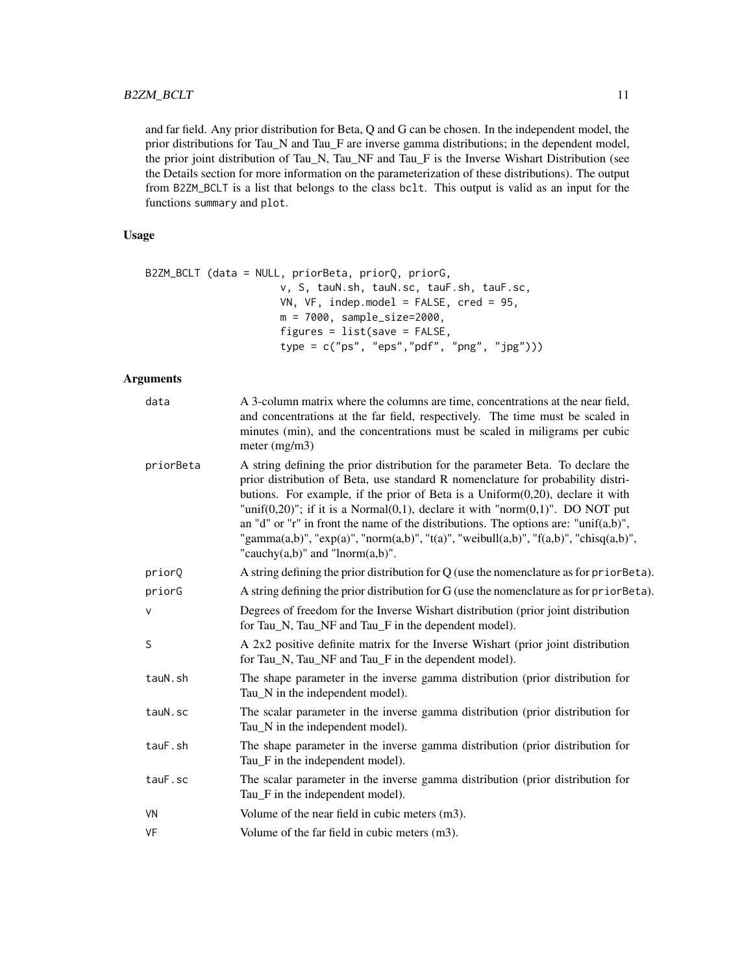and far field. Any prior distribution for Beta, Q and G can be chosen. In the independent model, the prior distributions for Tau\_N and Tau\_F are inverse gamma distributions; in the dependent model, the prior joint distribution of Tau\_N, Tau\_NF and Tau\_F is the Inverse Wishart Distribution (see the Details section for more information on the parameterization of these distributions). The output from B2ZM\_BCLT is a list that belongs to the class bclt. This output is valid as an input for the functions summary and plot.

# Usage

```
B2ZM_BCLT (data = NULL, priorBeta, priorQ, priorG,
                      v, S, tauN.sh, tauN.sc, tauF.sh, tauF.sc,
                      VN, VF, indep.model = FALSE, cred = 95,
                      m = 7000, sample_size=2000,
                      figures = list(save = FALSE,
                      type = c("ps", "eps","pdf", "png", "jpg")))
```
# Arguments

| data      | A 3-column matrix where the columns are time, concentrations at the near field,<br>and concentrations at the far field, respectively. The time must be scaled in<br>minutes (min), and the concentrations must be scaled in miligrams per cubic<br>meter $(mg/m3)$                                                                                                                                                                                                                                                                                                                 |
|-----------|------------------------------------------------------------------------------------------------------------------------------------------------------------------------------------------------------------------------------------------------------------------------------------------------------------------------------------------------------------------------------------------------------------------------------------------------------------------------------------------------------------------------------------------------------------------------------------|
| priorBeta | A string defining the prior distribution for the parameter Beta. To declare the<br>prior distribution of Beta, use standard R nomenclature for probability distri-<br>butions. For example, if the prior of Beta is a $Uniform(0,20)$ , declare it with<br>"unif $(0,20)$ "; if it is a Normal $(0,1)$ , declare it with "norm $(0,1)$ ". DO NOT put<br>an "d" or "r" in front the name of the distributions. The options are: "unif $(a,b)$ ",<br>"gamma(a,b)", "exp(a)", "norm(a,b)", "t(a)", "weibull(a,b)", "f(a,b)", "chisq(a,b)",<br>"cauchy $(a,b)$ " and "lnorm $(a,b)$ ". |
| priorQ    | A string defining the prior distribution for Q (use the nomenclature as for prior Beta).                                                                                                                                                                                                                                                                                                                                                                                                                                                                                           |
| priorG    | A string defining the prior distribution for G (use the nomenclature as for prior Beta).                                                                                                                                                                                                                                                                                                                                                                                                                                                                                           |
| $\vee$    | Degrees of freedom for the Inverse Wishart distribution (prior joint distribution<br>for Tau_N, Tau_NF and Tau_F in the dependent model).                                                                                                                                                                                                                                                                                                                                                                                                                                          |
| S         | A 2x2 positive definite matrix for the Inverse Wishart (prior joint distribution<br>for Tau_N, Tau_NF and Tau_F in the dependent model).                                                                                                                                                                                                                                                                                                                                                                                                                                           |
| tauN.sh   | The shape parameter in the inverse gamma distribution (prior distribution for<br>Tau_N in the independent model).                                                                                                                                                                                                                                                                                                                                                                                                                                                                  |
| tauN.sc   | The scalar parameter in the inverse gamma distribution (prior distribution for<br>Tau_N in the independent model).                                                                                                                                                                                                                                                                                                                                                                                                                                                                 |
| tauF.sh   | The shape parameter in the inverse gamma distribution (prior distribution for<br>Tau_F in the independent model).                                                                                                                                                                                                                                                                                                                                                                                                                                                                  |
| tauF.sc   | The scalar parameter in the inverse gamma distribution (prior distribution for<br>Tau F in the independent model).                                                                                                                                                                                                                                                                                                                                                                                                                                                                 |
| VN        | Volume of the near field in cubic meters (m3).                                                                                                                                                                                                                                                                                                                                                                                                                                                                                                                                     |
| VF        | Volume of the far field in cubic meters (m3).                                                                                                                                                                                                                                                                                                                                                                                                                                                                                                                                      |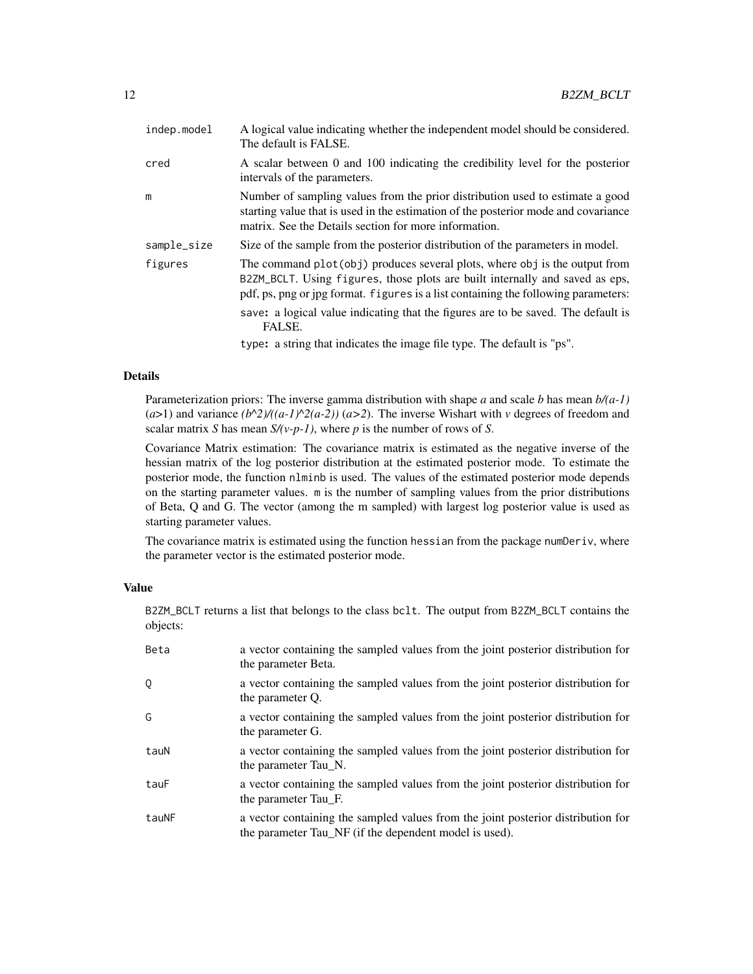| indep.model | A logical value indicating whether the independent model should be considered.<br>The default is FALSE.                                                                                                                                           |
|-------------|---------------------------------------------------------------------------------------------------------------------------------------------------------------------------------------------------------------------------------------------------|
| cred        | A scalar between 0 and 100 indicating the credibility level for the posterior<br>intervals of the parameters.                                                                                                                                     |
| m           | Number of sampling values from the prior distribution used to estimate a good<br>starting value that is used in the estimation of the posterior mode and covariance<br>matrix. See the Details section for more information.                      |
| sample_size | Size of the sample from the posterior distribution of the parameters in model.                                                                                                                                                                    |
| figures     | The command plot (obj) produces several plots, where obj is the output from<br>B2ZM_BCLT. Using figures, those plots are built internally and saved as eps,<br>pdf, ps, png or jpg format. figures is a list containing the following parameters: |
|             | save: a logical value indicating that the figures are to be saved. The default is<br>FALSE.                                                                                                                                                       |
|             | type: a string that indicates the image file type. The default is "ps".                                                                                                                                                                           |

# Details

Parameterization priors: The inverse gamma distribution with shape *a* and scale *b* has mean *b/(a-1)*  $(a>1)$  and variance  $(b^2)/(a-1)^2(a-2)$   $(a>2)$ . The inverse Wishart with *v* degrees of freedom and scalar matrix *S* has mean  $S/(v-p-1)$ , where *p* is the number of rows of *S*.

Covariance Matrix estimation: The covariance matrix is estimated as the negative inverse of the hessian matrix of the log posterior distribution at the estimated posterior mode. To estimate the posterior mode, the function nlminb is used. The values of the estimated posterior mode depends on the starting parameter values. m is the number of sampling values from the prior distributions of Beta, Q and G. The vector (among the m sampled) with largest log posterior value is used as starting parameter values.

The covariance matrix is estimated using the function hessian from the package numDeriv, where the parameter vector is the estimated posterior mode.

# Value

B2ZM\_BCLT returns a list that belongs to the class bclt. The output from B2ZM\_BCLT contains the objects:

| Beta  | a vector containing the sampled values from the joint posterior distribution for<br>the parameter Beta.                                    |
|-------|--------------------------------------------------------------------------------------------------------------------------------------------|
| 0     | a vector containing the sampled values from the joint posterior distribution for<br>the parameter O.                                       |
| G     | a vector containing the sampled values from the joint posterior distribution for<br>the parameter G.                                       |
| tauN  | a vector containing the sampled values from the joint posterior distribution for<br>the parameter Tau N.                                   |
| tauF  | a vector containing the sampled values from the joint posterior distribution for<br>the parameter Tau F.                                   |
| tauNF | a vector containing the sampled values from the joint posterior distribution for<br>the parameter Tau_NF (if the dependent model is used). |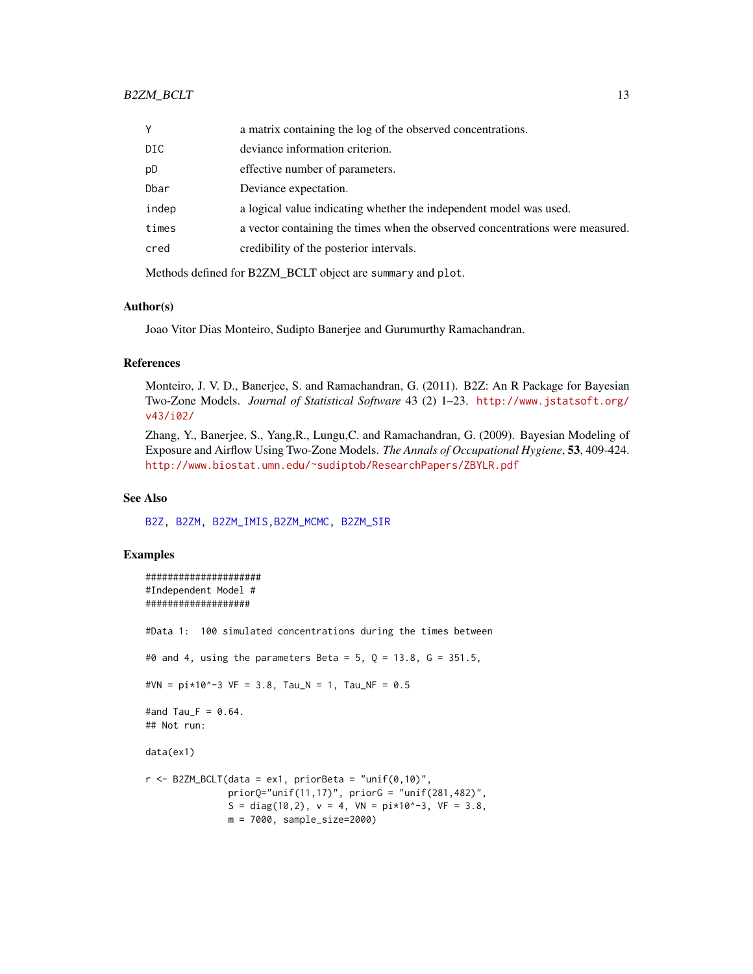<span id="page-12-0"></span>

| Y     | a matrix containing the log of the observed concentrations.                   |
|-------|-------------------------------------------------------------------------------|
| DIC   | deviance information criterion.                                               |
| рD    | effective number of parameters.                                               |
| Dbar  | Deviance expectation.                                                         |
| indep | a logical value indicating whether the independent model was used.            |
| times | a vector containing the times when the observed concentrations were measured. |
| cred  | credibility of the posterior intervals.                                       |
|       |                                                                               |

Methods defined for B2ZM\_BCLT object are summary and plot.

#### Author(s)

Joao Vitor Dias Monteiro, Sudipto Banerjee and Gurumurthy Ramachandran.

#### References

Monteiro, J. V. D., Banerjee, S. and Ramachandran, G. (2011). B2Z: An R Package for Bayesian Two-Zone Models. *Journal of Statistical Software* 43 (2) 1–23. [http://www.jstatsoft.org/](http://www.jstatsoft.org/v43/i02/) [v43/i02/](http://www.jstatsoft.org/v43/i02/)

Zhang, Y., Banerjee, S., Yang,R., Lungu,C. and Ramachandran, G. (2009). Bayesian Modeling of Exposure and Airflow Using Two-Zone Models. *The Annals of Occupational Hygiene*, 53, 409-424. [http://www.biostat.umn.edu/~sudiptob/ResearchPapers/ZBYLR.pdf]( http://www.biostat.umn.edu/~sudiptob/ResearchPapers/ZBYLR.pdf)

#### See Also

[B2Z,](#page-1-1) [B2ZM,](#page-2-1) [B2ZM\\_IMIS,](#page-13-1)[B2ZM\\_MCMC,](#page-17-1) [B2ZM\\_SIR](#page-22-1)

# Examples

```
#####################
#Independent Model #
###################
#Data 1: 100 simulated concentrations during the times between
#0 and 4, using the parameters Beta = 5, Q = 13.8, G = 351.5,
#VN = pi*10^--3 VF = 3.8, Tau_N = 1, Tau_NF = 0.5
#and Tau_F = 0.64.
## Not run:
data(ex1)
r <- B2ZM_BCLT(data = ex1, priorBeta = "unif(0,10)",
              priorQ="unif(11,17)", priorG = "unif(281,482)",
               S = diag(10, 2), v = 4, VN = pi*10*-3, VF = 3.8,m = 7000, sample_size=2000)
```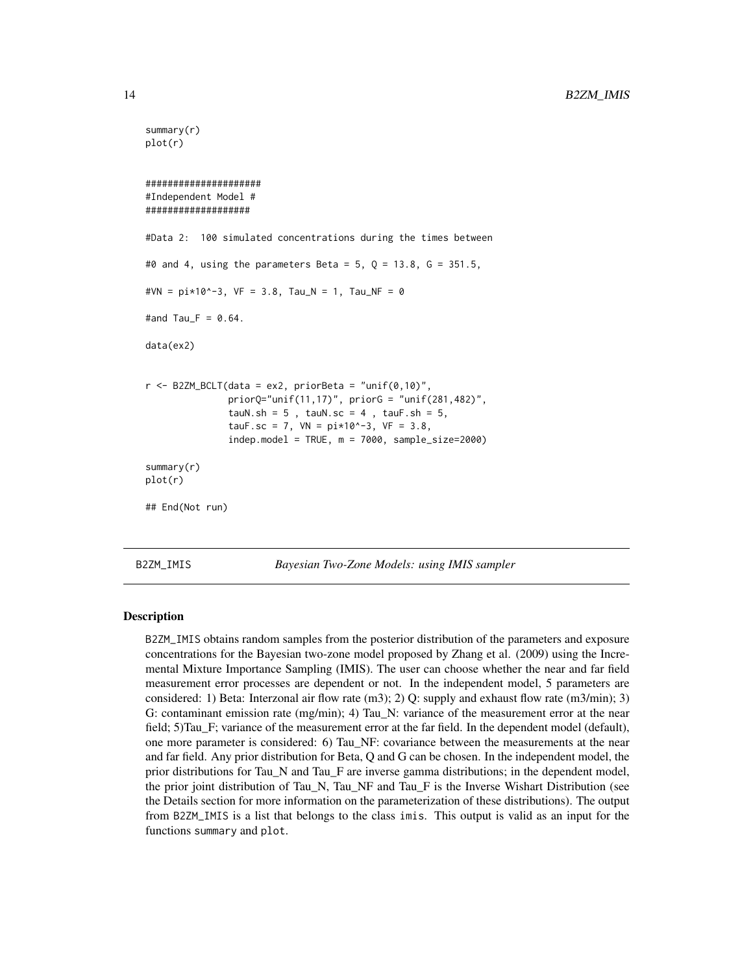```
summary(r)
plot(r)
#####################
#Independent Model #
###################
#Data 2: 100 simulated concentrations during the times between
#0 and 4, using the parameters Beta = 5, Q = 13.8, G = 351.5,
#VN = pi*10*-3, VF = 3.8, Tau_N = 1, Tau_NF = 0
#and Tau_F = 0.64.
data(ex2)
r <- B2ZM_BCLT(data = ex2, priorBeta = "unif(0,10)",
               priorQ="unif(11,17)", priorG = "unif(281,482)",
               tauN.sh = 5, tauN.sc = 4, tauF.sh = 5,
               tauF.sc = 7, VN = pi*10*-3, VF = 3.8,
               indep.model = TRUE, m = 7000, sample_size=2000)
summary(r)
plot(r)
## End(Not run)
```
<span id="page-13-1"></span>B2ZM\_IMIS *Bayesian Two-Zone Models: using IMIS sampler*

## Description

B2ZM\_IMIS obtains random samples from the posterior distribution of the parameters and exposure concentrations for the Bayesian two-zone model proposed by Zhang et al. (2009) using the Incremental Mixture Importance Sampling (IMIS). The user can choose whether the near and far field measurement error processes are dependent or not. In the independent model, 5 parameters are considered: 1) Beta: Interzonal air flow rate  $(m3)$ ; 2) O: supply and exhaust flow rate  $(m3/min)$ ; 3) G: contaminant emission rate (mg/min); 4) Tau\_N: variance of the measurement error at the near field; 5)Tau\_F; variance of the measurement error at the far field. In the dependent model (default), one more parameter is considered: 6) Tau\_NF: covariance between the measurements at the near and far field. Any prior distribution for Beta, Q and G can be chosen. In the independent model, the prior distributions for Tau\_N and Tau\_F are inverse gamma distributions; in the dependent model, the prior joint distribution of Tau\_N, Tau\_NF and Tau\_F is the Inverse Wishart Distribution (see the Details section for more information on the parameterization of these distributions). The output from B2ZM\_IMIS is a list that belongs to the class imis. This output is valid as an input for the functions summary and plot.

<span id="page-13-0"></span>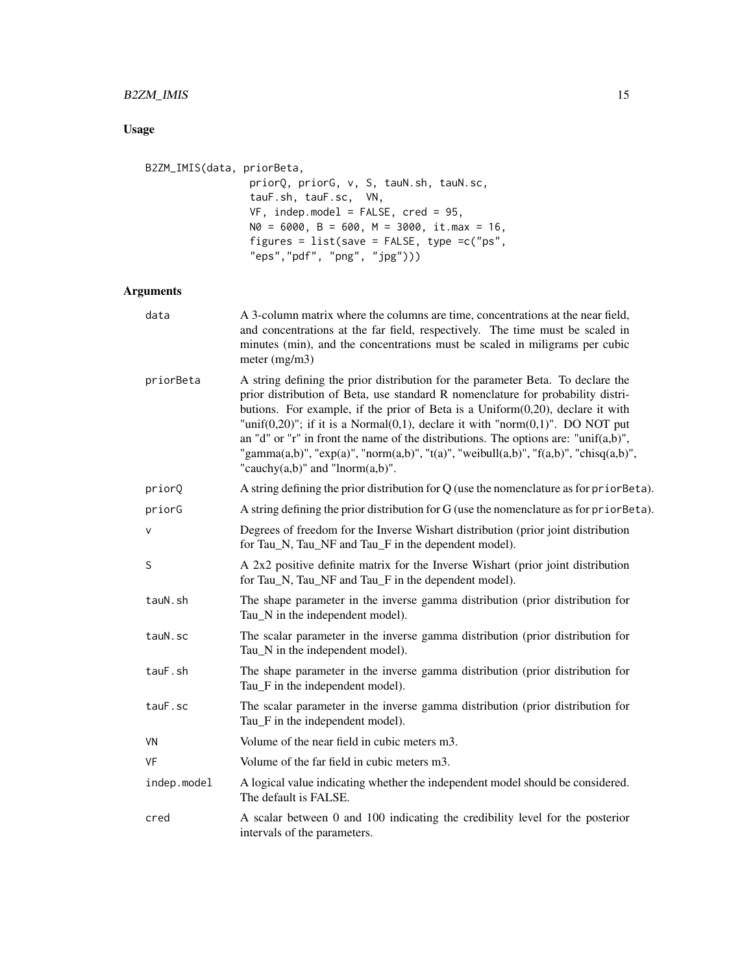# B2ZM\_IMIS 15

# Usage

```
B2ZM_IMIS(data, priorBeta,
                 priorQ, priorG, v, S, tauN.sh, tauN.sc,
                 tauF.sh, tauF.sc, VN,
                 VF, indep.model = FALSE, cred = 95,
                 N\emptyset = 6000, B = 600, M = 3000, it.max = 16,
                 figures = list(save = FALSE, type =c("ps",
                 "eps","pdf", "png", "jpg")))
```
# Arguments

| data        | A 3-column matrix where the columns are time, concentrations at the near field,<br>and concentrations at the far field, respectively. The time must be scaled in<br>minutes (min), and the concentrations must be scaled in miligrams per cubic<br>meter $(mg/m3)$                                                                                                                                                                                                                                                                                                                 |
|-------------|------------------------------------------------------------------------------------------------------------------------------------------------------------------------------------------------------------------------------------------------------------------------------------------------------------------------------------------------------------------------------------------------------------------------------------------------------------------------------------------------------------------------------------------------------------------------------------|
| priorBeta   | A string defining the prior distribution for the parameter Beta. To declare the<br>prior distribution of Beta, use standard R nomenclature for probability distri-<br>butions. For example, if the prior of Beta is a $Uniform(0,20)$ , declare it with<br>"unif $(0,20)$ "; if it is a Normal $(0,1)$ , declare it with "norm $(0,1)$ ". DO NOT put<br>an "d" or "r" in front the name of the distributions. The options are: "unif $(a,b)$ ",<br>"gamma(a,b)", "exp(a)", "norm(a,b)", "t(a)", "weibull(a,b)", "f(a,b)", "chisq(a,b)",<br>"cauchy $(a,b)$ " and "lnorm $(a,b)$ ". |
| priorQ      | A string defining the prior distribution for $Q$ (use the nomenclature as for prior Beta).                                                                                                                                                                                                                                                                                                                                                                                                                                                                                         |
| priorG      | A string defining the prior distribution for G (use the nomenclature as for prior Beta).                                                                                                                                                                                                                                                                                                                                                                                                                                                                                           |
| $\vee$      | Degrees of freedom for the Inverse Wishart distribution (prior joint distribution<br>for Tau_N, Tau_NF and Tau_F in the dependent model).                                                                                                                                                                                                                                                                                                                                                                                                                                          |
| S           | A 2x2 positive definite matrix for the Inverse Wishart (prior joint distribution<br>for Tau_N, Tau_NF and Tau_F in the dependent model).                                                                                                                                                                                                                                                                                                                                                                                                                                           |
| tauN.sh     | The shape parameter in the inverse gamma distribution (prior distribution for<br>Tau_N in the independent model).                                                                                                                                                                                                                                                                                                                                                                                                                                                                  |
| tauN.sc     | The scalar parameter in the inverse gamma distribution (prior distribution for<br>Tau_N in the independent model).                                                                                                                                                                                                                                                                                                                                                                                                                                                                 |
| tauF.sh     | The shape parameter in the inverse gamma distribution (prior distribution for<br>Tau_F in the independent model).                                                                                                                                                                                                                                                                                                                                                                                                                                                                  |
| tauF.sc     | The scalar parameter in the inverse gamma distribution (prior distribution for<br>Tau_F in the independent model).                                                                                                                                                                                                                                                                                                                                                                                                                                                                 |
| VN          | Volume of the near field in cubic meters m3.                                                                                                                                                                                                                                                                                                                                                                                                                                                                                                                                       |
| VF          | Volume of the far field in cubic meters m3.                                                                                                                                                                                                                                                                                                                                                                                                                                                                                                                                        |
| indep.model | A logical value indicating whether the independent model should be considered.<br>The default is FALSE.                                                                                                                                                                                                                                                                                                                                                                                                                                                                            |
| cred        | A scalar between 0 and 100 indicating the credibility level for the posterior<br>intervals of the parameters.                                                                                                                                                                                                                                                                                                                                                                                                                                                                      |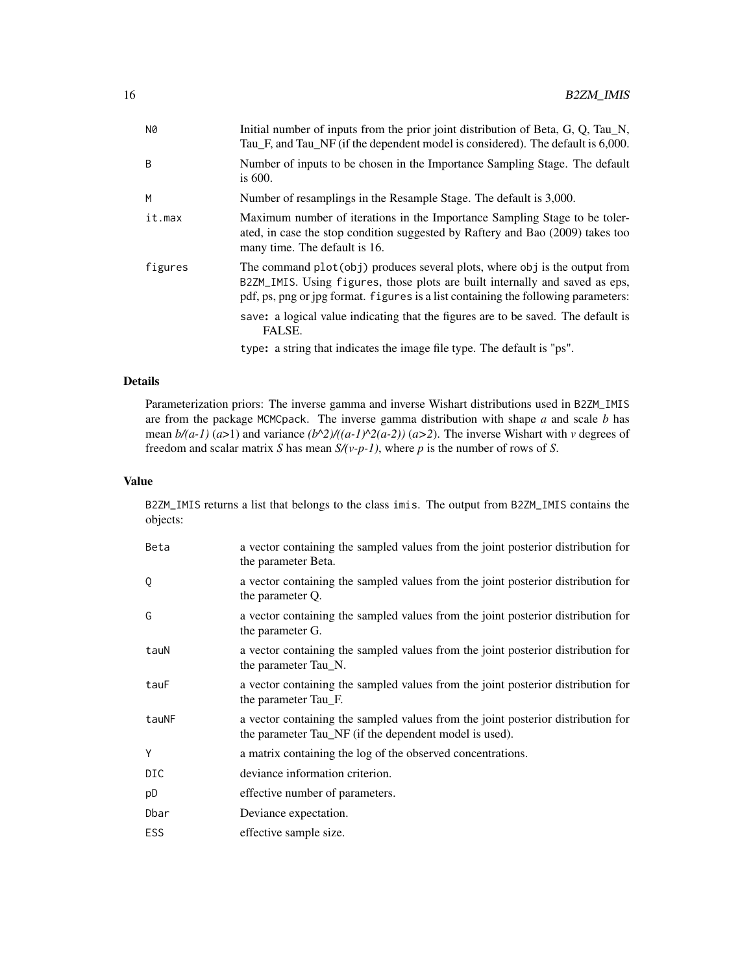| N0           | Initial number of inputs from the prior joint distribution of Beta, G, Q, Tau N,<br>Tau_F, and Tau_NF (if the dependent model is considered). The default is 6,000.                                                                               |
|--------------|---------------------------------------------------------------------------------------------------------------------------------------------------------------------------------------------------------------------------------------------------|
| <sub>B</sub> | Number of inputs to be chosen in the Importance Sampling Stage. The default<br>is $600$ .                                                                                                                                                         |
| M            | Number of resamplings in the Resample Stage. The default is 3,000.                                                                                                                                                                                |
| it.max       | Maximum number of iterations in the Importance Sampling Stage to be toler-<br>ated, in case the stop condition suggested by Raftery and Bao (2009) takes too<br>many time. The default is 16.                                                     |
| figures      | The command plot (obj) produces several plots, where obj is the output from<br>B2ZM_IMIS. Using figures, those plots are built internally and saved as eps,<br>pdf, ps, png or jpg format. figures is a list containing the following parameters: |
|              | save: a logical value indicating that the figures are to be saved. The default is<br>FALSE.                                                                                                                                                       |
|              | type: a string that indicates the image file type. The default is "ps".                                                                                                                                                                           |

# Details

Parameterization priors: The inverse gamma and inverse Wishart distributions used in B2ZM\_IMIS are from the package MCMCpack. The inverse gamma distribution with shape *a* and scale *b* has mean  $b/(a-1)$  ( $a>1$ ) and variance  $(b^2)/(a-1)^2/(a-2)$  ( $a>2$ ). The inverse Wishart with *v* degrees of freedom and scalar matrix *S* has mean *S/(v-p-1)*, where *p* is the number of rows of *S*.

## Value

B2ZM\_IMIS returns a list that belongs to the class imis. The output from B2ZM\_IMIS contains the objects:

| Beta       | a vector containing the sampled values from the joint posterior distribution for<br>the parameter Beta.                                    |
|------------|--------------------------------------------------------------------------------------------------------------------------------------------|
| Q          | a vector containing the sampled values from the joint posterior distribution for<br>the parameter Q.                                       |
| G          | a vector containing the sampled values from the joint posterior distribution for<br>the parameter G.                                       |
| tauN       | a vector containing the sampled values from the joint posterior distribution for<br>the parameter Tau_N.                                   |
| tauF       | a vector containing the sampled values from the joint posterior distribution for<br>the parameter Tau_F.                                   |
| tauNF      | a vector containing the sampled values from the joint posterior distribution for<br>the parameter Tau_NF (if the dependent model is used). |
| Y          | a matrix containing the log of the observed concentrations.                                                                                |
| DIC        | deviance information criterion.                                                                                                            |
| pD         | effective number of parameters.                                                                                                            |
| Dbar       | Deviance expectation.                                                                                                                      |
| <b>ESS</b> | effective sample size.                                                                                                                     |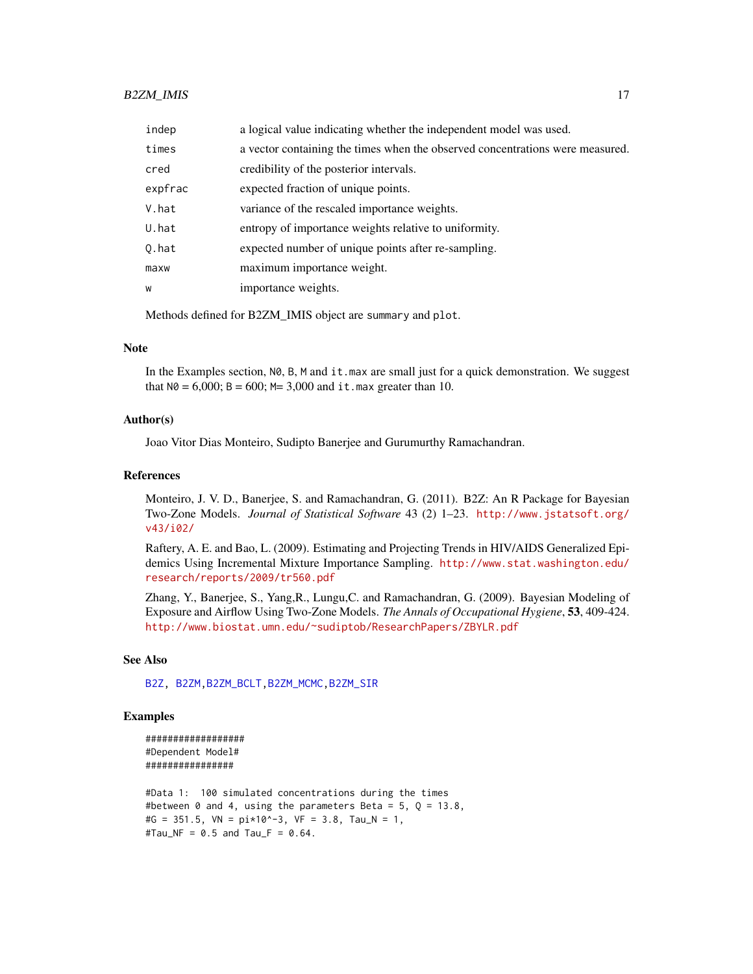# <span id="page-16-0"></span>B2ZM\_IMIS 17

| indep   | a logical value indicating whether the independent model was used.            |
|---------|-------------------------------------------------------------------------------|
| times   | a vector containing the times when the observed concentrations were measured. |
| cred    | credibility of the posterior intervals.                                       |
| expfrac | expected fraction of unique points.                                           |
| V.hat   | variance of the rescaled importance weights.                                  |
| U.hat   | entropy of importance weights relative to uniformity.                         |
| 0.hat   | expected number of unique points after re-sampling.                           |
| maxw    | maximum importance weight.                                                    |
| W       | importance weights.                                                           |
|         |                                                                               |

Methods defined for B2ZM\_IMIS object are summary and plot.

# Note

In the Examples section,  $N\varnothing$ ,  $B$ ,  $M$  and  $it$  max are small just for a quick demonstration. We suggest that  $N\theta = 6,000$ ;  $B = 600$ ;  $M = 3,000$  and it. max greater than 10.

# Author(s)

Joao Vitor Dias Monteiro, Sudipto Banerjee and Gurumurthy Ramachandran.

# References

Monteiro, J. V. D., Banerjee, S. and Ramachandran, G. (2011). B2Z: An R Package for Bayesian Two-Zone Models. *Journal of Statistical Software* 43 (2) 1–23. [http://www.jstatsoft.org/](http://www.jstatsoft.org/v43/i02/) [v43/i02/](http://www.jstatsoft.org/v43/i02/)

Raftery, A. E. and Bao, L. (2009). Estimating and Projecting Trends in HIV/AIDS Generalized Epidemics Using Incremental Mixture Importance Sampling. [http://www.stat.washington.edu/](http://www.stat.washington.edu/research/reports/2009/tr560.pdf) [research/reports/2009/tr560.pdf](http://www.stat.washington.edu/research/reports/2009/tr560.pdf)

Zhang, Y., Banerjee, S., Yang,R., Lungu,C. and Ramachandran, G. (2009). Bayesian Modeling of Exposure and Airflow Using Two-Zone Models. *The Annals of Occupational Hygiene*, 53, 409-424. [http://www.biostat.umn.edu/~sudiptob/ResearchPapers/ZBYLR.pdf]( http://www.biostat.umn.edu/~sudiptob/ResearchPapers/ZBYLR.pdf)

# See Also

[B2Z,](#page-1-1) [B2ZM](#page-2-1)[,B2ZM\\_BCLT,](#page-9-1)[B2ZM\\_MCMC,](#page-17-1)[B2ZM\\_SIR](#page-22-1)

# Examples

```
##################
#Dependent Model#
################
```

```
#Data 1: 100 simulated concentrations during the times
#between 0 and 4, using the parameters Beta = 5, Q = 13.8,
#G = 351.5, VN = pi*10^{\wedge}-3, VF = 3.8, Tau_N = 1,
#Tau_NF = 0.5 and Tau_F = 0.64.
```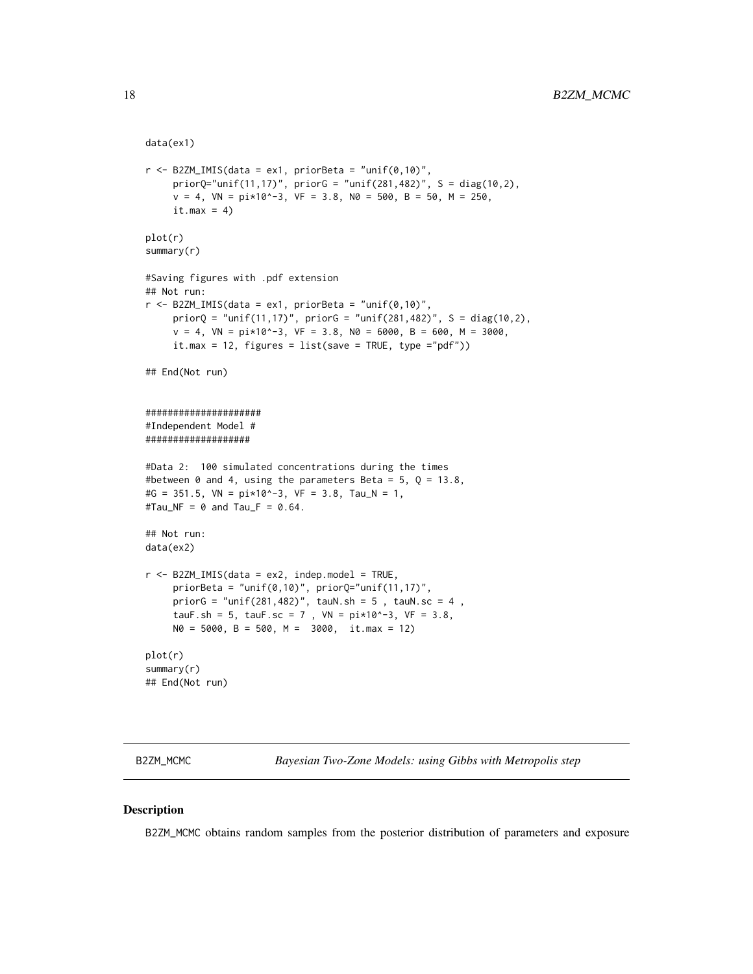```
data(ex1)
r <- B2ZM_IMIS(data = ex1, priorBeta = "unif(0,10)",
     priorQ="unif(11,17)', priorG = "unif(281,482)', S = diag(10,2),
     v = 4, VN = pi*10^-3, VF = 3.8, N0 = 500, B = 50, M = 250,
     it.max = 4)
plot(r)
summary(r)
#Saving figures with .pdf extension
## Not run:
r <- B2ZM_IMIS(data = ex1, priorBeta = "unif(0,10)",
     priorQ = "unif(11,17)", priorG = "unif(281,482)', S = diag(10,2),
     v = 4, VN = pi*10^-3, VF = 3.8, N0 = 6000, B = 600, M = 3000,
     it.max = 12, figures = list(save = TRUE, type = "pdf"))## End(Not run)
#####################
#Independent Model #
###################
#Data 2: 100 simulated concentrations during the times
#between 0 and 4, using the parameters Beta = 5, Q = 13.8,
#G = 351.5, VN = pi*10^{\wedge}-3, VF = 3.8, Tau_N = 1,
#Tau_NF = \theta and Tau_F = \theta.64.
## Not run:
data(ex2)
r <- B2ZM_IMIS(data = ex2, indep.model = TRUE,
     priorBeta = "unif(0,10)", priorQ="unif(11,17)",
    priorG = "unif(281,482)", tauN.sh = 5, tauN.sc = 4,
     tauF.sh = 5, tauF.sc = 7, VN = pi*10^{\wedge}-3, VF = 3.8,
     N0 = 5000, B = 500, M = 3000, it.max = 12)
plot(r)
summary(r)
## End(Not run)
```
<span id="page-17-1"></span>B2ZM\_MCMC *Bayesian Two-Zone Models: using Gibbs with Metropolis step*

#### Description

B2ZM\_MCMC obtains random samples from the posterior distribution of parameters and exposure

<span id="page-17-0"></span>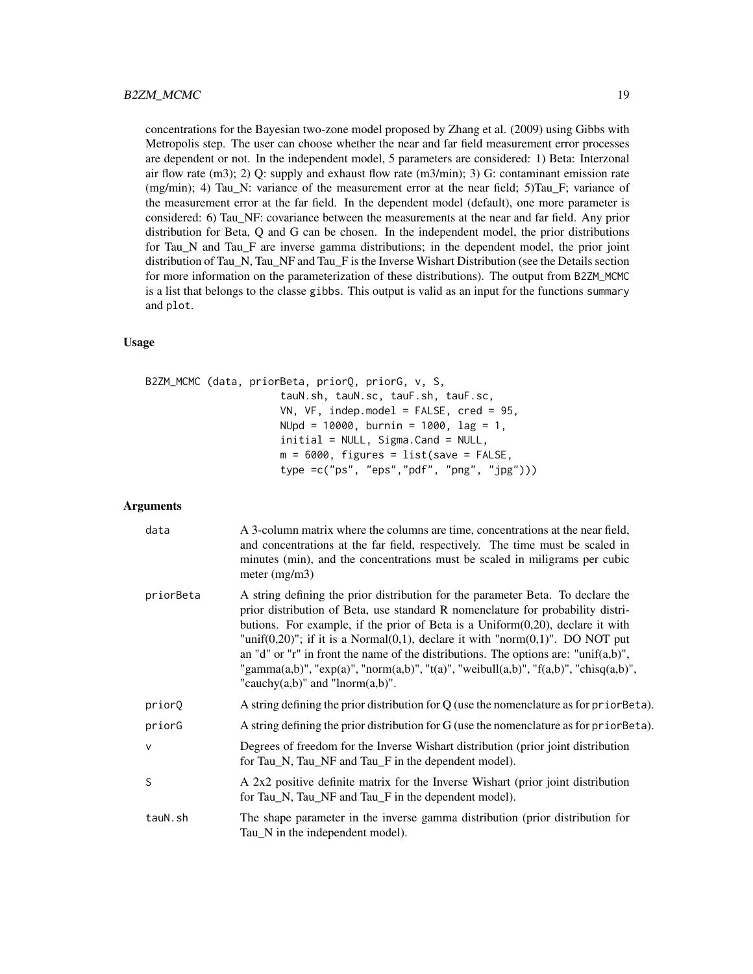concentrations for the Bayesian two-zone model proposed by Zhang et al. (2009) using Gibbs with Metropolis step. The user can choose whether the near and far field measurement error processes are dependent or not. In the independent model, 5 parameters are considered: 1) Beta: Interzonal air flow rate (m3); 2) Q: supply and exhaust flow rate (m3/min); 3) G: contaminant emission rate  $(mg/min); 4)$  Tau N: variance of the measurement error at the near field; 5)Tau F; variance of the measurement error at the far field. In the dependent model (default), one more parameter is considered: 6) Tau\_NF: covariance between the measurements at the near and far field. Any prior distribution for Beta, Q and G can be chosen. In the independent model, the prior distributions for Tau\_N and Tau\_F are inverse gamma distributions; in the dependent model, the prior joint distribution of Tau\_N, Tau\_NF and Tau\_F is the Inverse Wishart Distribution (see the Details section for more information on the parameterization of these distributions). The output from B2ZM\_MCMC is a list that belongs to the classe gibbs. This output is valid as an input for the functions summary and plot.

#### Usage

```
B2ZM_MCMC (data, priorBeta, priorQ, priorG, v, S,
                      tauN.sh, tauN.sc, tauF.sh, tauF.sc,
                      VN, VF, indep.model = FALSE, cred = 95,
                      NUpd = 10000, burnin = 1000, lag = 1,
                      initial = NULL, Sigma.Cand = NULL,
                      m = 6000, figures = list(save = FALSE,
                      type =c("ps", "eps","pdf", "png", "jpg")))
```
#### Arguments

| data         | A 3-column matrix where the columns are time, concentrations at the near field,<br>and concentrations at the far field, respectively. The time must be scaled in<br>minutes (min), and the concentrations must be scaled in miligrams per cubic<br>meter $(mg/m3)$                                                                                                                                                                                                                                                                                                             |
|--------------|--------------------------------------------------------------------------------------------------------------------------------------------------------------------------------------------------------------------------------------------------------------------------------------------------------------------------------------------------------------------------------------------------------------------------------------------------------------------------------------------------------------------------------------------------------------------------------|
| priorBeta    | A string defining the prior distribution for the parameter Beta. To declare the<br>prior distribution of Beta, use standard R nomenclature for probability distri-<br>butions. For example, if the prior of Beta is a $Uniform(0,20)$ , declare it with<br>"unif $(0,20)$ "; if it is a Normal $(0,1)$ , declare it with "norm $(0,1)$ ". DO NOT put<br>an "d" or "r" in front the name of the distributions. The options are: "unif(a,b)",<br>"gamma(a,b)", "exp(a)", "norm(a,b)", "t(a)", "weibull(a,b)", "f(a,b)", "chisq(a,b)",<br>"cauchy $(a,b)$ " and "lnorm $(a,b)$ ". |
| priorQ       | A string defining the prior distribution for $Q$ (use the nomenclature as for prior Beta).                                                                                                                                                                                                                                                                                                                                                                                                                                                                                     |
| priorG       | A string defining the prior distribution for G (use the nomenclature as for prior Beta).                                                                                                                                                                                                                                                                                                                                                                                                                                                                                       |
| $\mathsf{V}$ | Degrees of freedom for the Inverse Wishart distribution (prior joint distribution<br>for Tau_N, Tau_NF and Tau_F in the dependent model).                                                                                                                                                                                                                                                                                                                                                                                                                                      |
| S            | A 2x2 positive definite matrix for the Inverse Wishart (prior joint distribution<br>for Tau_N, Tau_NF and Tau_F in the dependent model).                                                                                                                                                                                                                                                                                                                                                                                                                                       |
| tauN.sh      | The shape parameter in the inverse gamma distribution (prior distribution for<br>Tau_N in the independent model).                                                                                                                                                                                                                                                                                                                                                                                                                                                              |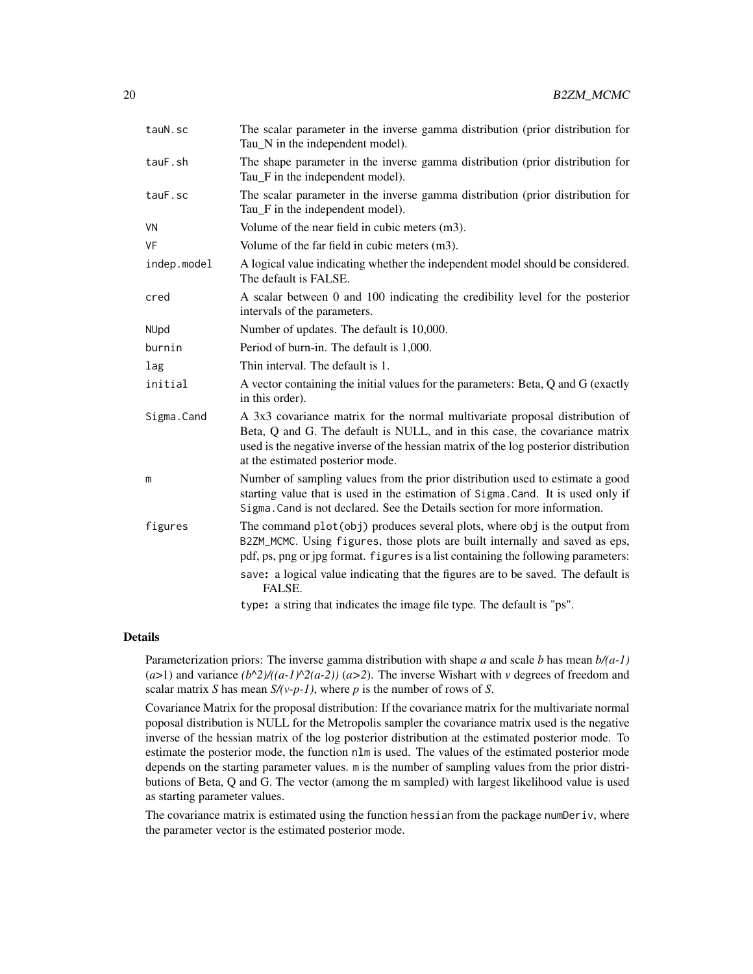| tauN.sc     | The scalar parameter in the inverse gamma distribution (prior distribution for<br>Tau_N in the independent model).                                                                                                                                                                      |
|-------------|-----------------------------------------------------------------------------------------------------------------------------------------------------------------------------------------------------------------------------------------------------------------------------------------|
| tauF.sh     | The shape parameter in the inverse gamma distribution (prior distribution for<br>Tau_F in the independent model).                                                                                                                                                                       |
| tauF.sc     | The scalar parameter in the inverse gamma distribution (prior distribution for<br>Tau_F in the independent model).                                                                                                                                                                      |
| VN          | Volume of the near field in cubic meters (m3).                                                                                                                                                                                                                                          |
| VF          | Volume of the far field in cubic meters (m3).                                                                                                                                                                                                                                           |
| indep.model | A logical value indicating whether the independent model should be considered.<br>The default is FALSE.                                                                                                                                                                                 |
| cred        | A scalar between 0 and 100 indicating the credibility level for the posterior<br>intervals of the parameters.                                                                                                                                                                           |
| NUpd        | Number of updates. The default is 10,000.                                                                                                                                                                                                                                               |
| burnin      | Period of burn-in. The default is 1,000.                                                                                                                                                                                                                                                |
| lag         | Thin interval. The default is 1.                                                                                                                                                                                                                                                        |
| initial     | A vector containing the initial values for the parameters: Beta, Q and G (exactly<br>in this order).                                                                                                                                                                                    |
| Sigma.Cand  | A 3x3 covariance matrix for the normal multivariate proposal distribution of<br>Beta, Q and G. The default is NULL, and in this case, the covariance matrix<br>used is the negative inverse of the hessian matrix of the log posterior distribution<br>at the estimated posterior mode. |
| m           | Number of sampling values from the prior distribution used to estimate a good<br>starting value that is used in the estimation of Sigma. Cand. It is used only if<br>Sigma. Cand is not declared. See the Details section for more information.                                         |
| figures     | The command plot (obj) produces several plots, where obj is the output from<br>B2ZM_MCMC. Using figures, those plots are built internally and saved as eps,<br>pdf, ps, png or jpg format. figures is a list containing the following parameters:                                       |
|             | save: a logical value indicating that the figures are to be saved. The default is<br>FALSE.                                                                                                                                                                                             |
|             | type: a string that indicates the image file type. The default is "ps".                                                                                                                                                                                                                 |

# Details

Parameterization priors: The inverse gamma distribution with shape *a* and scale *b* has mean *b/(a-1)*  $(a>1)$  and variance  $(b<sup>2</sup>)/(a-1)<sup>2</sup>(a-2)$ )  $(a>2)$ . The inverse Wishart with *v* degrees of freedom and scalar matrix *S* has mean *S/(v-p-1)*, where *p* is the number of rows of *S*.

Covariance Matrix for the proposal distribution: If the covariance matrix for the multivariate normal poposal distribution is NULL for the Metropolis sampler the covariance matrix used is the negative inverse of the hessian matrix of the log posterior distribution at the estimated posterior mode. To estimate the posterior mode, the function nlm is used. The values of the estimated posterior mode depends on the starting parameter values. m is the number of sampling values from the prior distributions of Beta, Q and G. The vector (among the m sampled) with largest likelihood value is used as starting parameter values.

The covariance matrix is estimated using the function hessian from the package numDeriv, where the parameter vector is the estimated posterior mode.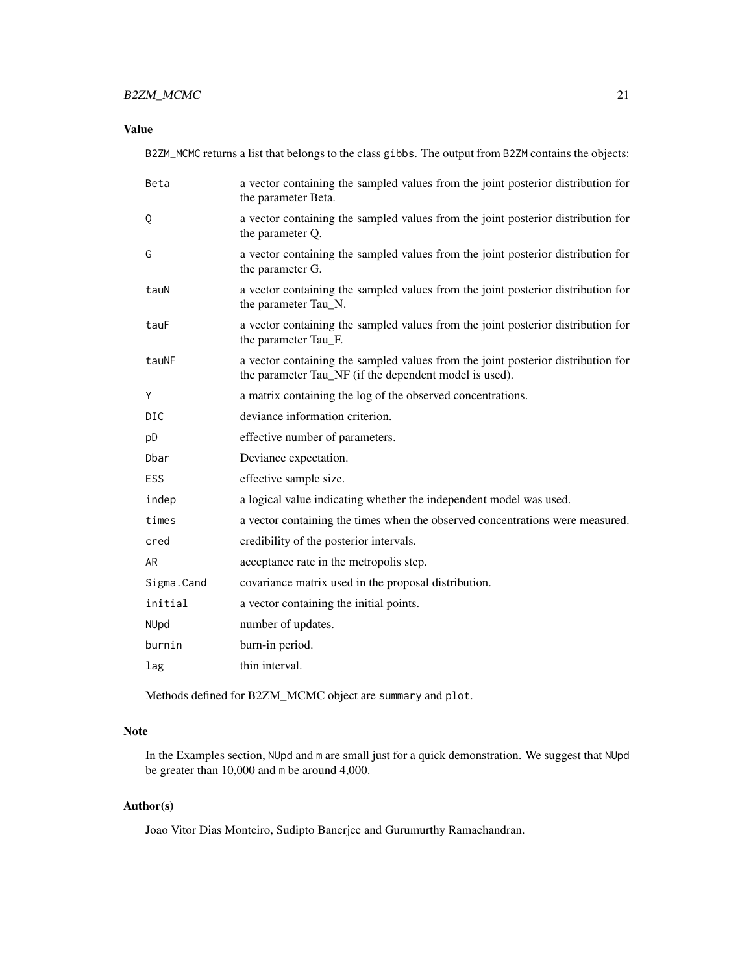# B2ZM\_MCMC 21

# Value

B2ZM\_MCMC returns a list that belongs to the class gibbs. The output from B2ZM contains the objects:

| Beta       | a vector containing the sampled values from the joint posterior distribution for<br>the parameter Beta.                                    |
|------------|--------------------------------------------------------------------------------------------------------------------------------------------|
| Q          | a vector containing the sampled values from the joint posterior distribution for<br>the parameter Q.                                       |
| G          | a vector containing the sampled values from the joint posterior distribution for<br>the parameter G.                                       |
| tauN       | a vector containing the sampled values from the joint posterior distribution for<br>the parameter Tau_N.                                   |
| tauF       | a vector containing the sampled values from the joint posterior distribution for<br>the parameter Tau_F.                                   |
| tauNF      | a vector containing the sampled values from the joint posterior distribution for<br>the parameter Tau_NF (if the dependent model is used). |
| Y          | a matrix containing the log of the observed concentrations.                                                                                |
| DIC        | deviance information criterion.                                                                                                            |
| pD         | effective number of parameters.                                                                                                            |
| Dbar       | Deviance expectation.                                                                                                                      |
| <b>ESS</b> | effective sample size.                                                                                                                     |
| indep      | a logical value indicating whether the independent model was used.                                                                         |
| times      | a vector containing the times when the observed concentrations were measured.                                                              |
| cred       | credibility of the posterior intervals.                                                                                                    |
| AR         | acceptance rate in the metropolis step.                                                                                                    |
| Sigma.Cand | covariance matrix used in the proposal distribution.                                                                                       |
| initial    | a vector containing the initial points.                                                                                                    |
| NUpd       | number of updates.                                                                                                                         |
| burnin     | burn-in period.                                                                                                                            |
| lag        | thin interval.                                                                                                                             |

Methods defined for B2ZM\_MCMC object are summary and plot.

# Note

In the Examples section, NUpd and m are small just for a quick demonstration. We suggest that NUpd be greater than 10,000 and m be around 4,000.

# Author(s)

Joao Vitor Dias Monteiro, Sudipto Banerjee and Gurumurthy Ramachandran.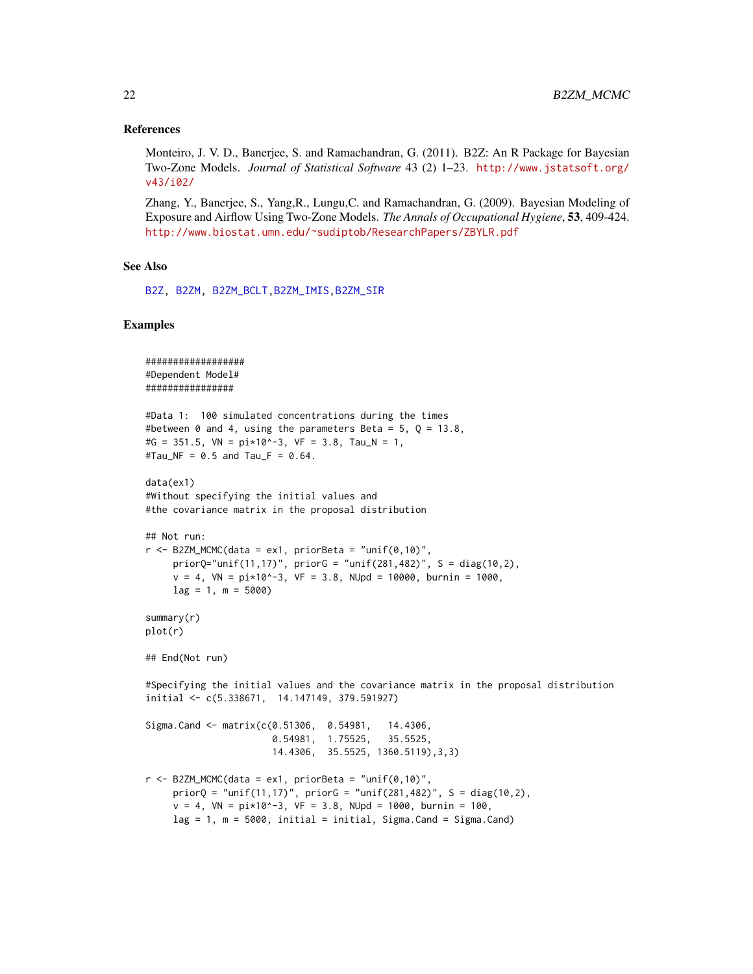#### <span id="page-21-0"></span>References

Monteiro, J. V. D., Banerjee, S. and Ramachandran, G. (2011). B2Z: An R Package for Bayesian Two-Zone Models. *Journal of Statistical Software* 43 (2) 1–23. [http://www.jstatsoft.org/](http://www.jstatsoft.org/v43/i02/) [v43/i02/](http://www.jstatsoft.org/v43/i02/)

Zhang, Y., Banerjee, S., Yang,R., Lungu,C. and Ramachandran, G. (2009). Bayesian Modeling of Exposure and Airflow Using Two-Zone Models. *The Annals of Occupational Hygiene*, 53, 409-424. [http://www.biostat.umn.edu/~sudiptob/ResearchPapers/ZBYLR.pdf]( http://www.biostat.umn.edu/~sudiptob/ResearchPapers/ZBYLR.pdf)

## See Also

[B2Z,](#page-1-1) [B2ZM,](#page-2-1) [B2ZM\\_BCLT,](#page-9-1)[B2ZM\\_IMIS,](#page-13-1)[B2ZM\\_SIR](#page-22-1)

# Examples

```
##################
#Dependent Model#
################
#Data 1: 100 simulated concentrations during the times
#between 0 and 4, using the parameters Beta = 5, Q = 13.8,
#G = 351.5, VN = pi*10^{\wedge}-3, VF = 3.8, Tau_N = 1,
#Tau_NF = 0.5 and Tau_F = 0.64.
data(ex1)
#Without specifying the initial values and
#the covariance matrix in the proposal distribution
## Not run:
r <- B2ZM_MCMC(data = ex1, priorBeta = "unif(0,10)",
     priorQ="unif(11,17)", priorG = "unif(281,482)', S = diag(10,2),
    v = 4, VN = pi*10^{\circ}-3, VF = 3.8, NUpd = 10000, burnin = 1000,
    lag = 1, m = 5000summary(r)
plot(r)
## End(Not run)
#Specifying the initial values and the covariance matrix in the proposal distribution
initial <- c(5.338671, 14.147149, 379.591927)
Sigma.Cand <- matrix(c(0.51306, 0.54981, 14.4306,
                       0.54981, 1.75525, 35.5525,
                       14.4306, 35.5525, 1360.5119),3,3)
r <- B2ZM_MCMC(data = ex1, priorBeta = "unif(0,10)",
     priorQ = "unif(11,17)", priorG = "unif(281,482)', S = diag(10,2),
     v = 4, VN = pi*10^-3, VF = 3.8, NUpd = 1000, burnin = 100,
    lag = 1, m = 5000, initial = initial, Sigma.Cand = Sigma.Cand)
```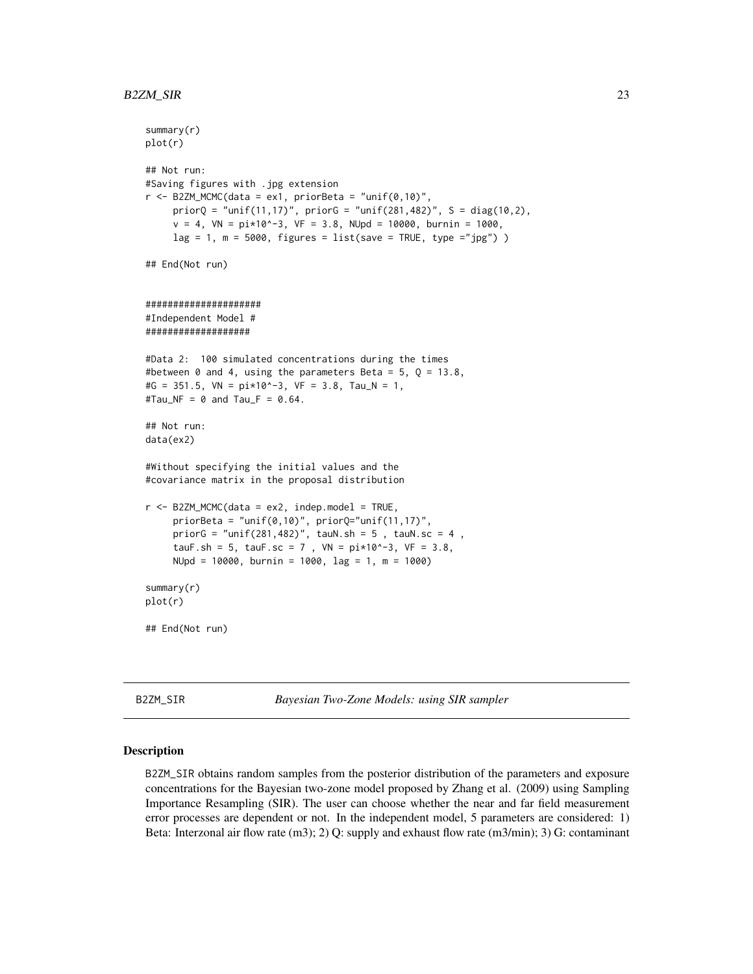```
summary(r)
plot(r)
## Not run:
#Saving figures with .jpg extension
r <- B2ZM_MCMC(data = ex1, priorBeta = "unif(0,10)",
     priorQ = "unif(11, 17)", priorG = "unif(281, 482)', S = diag(10, 2),
     v = 4, VN = pi*10^{\circ}-3, VF = 3.8, NUpd = 10000, burnin = 1000,
     lag = 1, m = 5000, figures = list(save = TRUE, type ="jpg") )
## End(Not run)
#####################
#Independent Model #
###################
#Data 2: 100 simulated concentrations during the times
#between 0 and 4, using the parameters Beta = 5, Q = 13.8,
#G = 351.5, VN = pi*10^{\circ}-3, VF = 3.8, Tau_N = 1,
#Tau_NF = 0 and Tau_F = 0.64.
## Not run:
data(ex2)
#Without specifying the initial values and the
#covariance matrix in the proposal distribution
r <- B2ZM_MCMC(data = ex2, indep.model = TRUE,
     priorBeta = "unif(0,10)", priorQ="unif(11,17)",
     priorG = "unif(281,482)", tauN.sh = 5, tauN.sc = 4,
     tauF.sh = 5, tauF.sc = 7, VN = pi*10^{\circ}-3, VF = 3.8,
     NUpd = 10000, burnin = 1000, lag = 1, m = 1000)
summary(r)
plot(r)
## End(Not run)
```
<span id="page-22-1"></span>B2ZM\_SIR *Bayesian Two-Zone Models: using SIR sampler*

### Description

B2ZM\_SIR obtains random samples from the posterior distribution of the parameters and exposure concentrations for the Bayesian two-zone model proposed by Zhang et al. (2009) using Sampling Importance Resampling (SIR). The user can choose whether the near and far field measurement error processes are dependent or not. In the independent model, 5 parameters are considered: 1) Beta: Interzonal air flow rate (m3); 2) Q: supply and exhaust flow rate (m3/min); 3) G: contaminant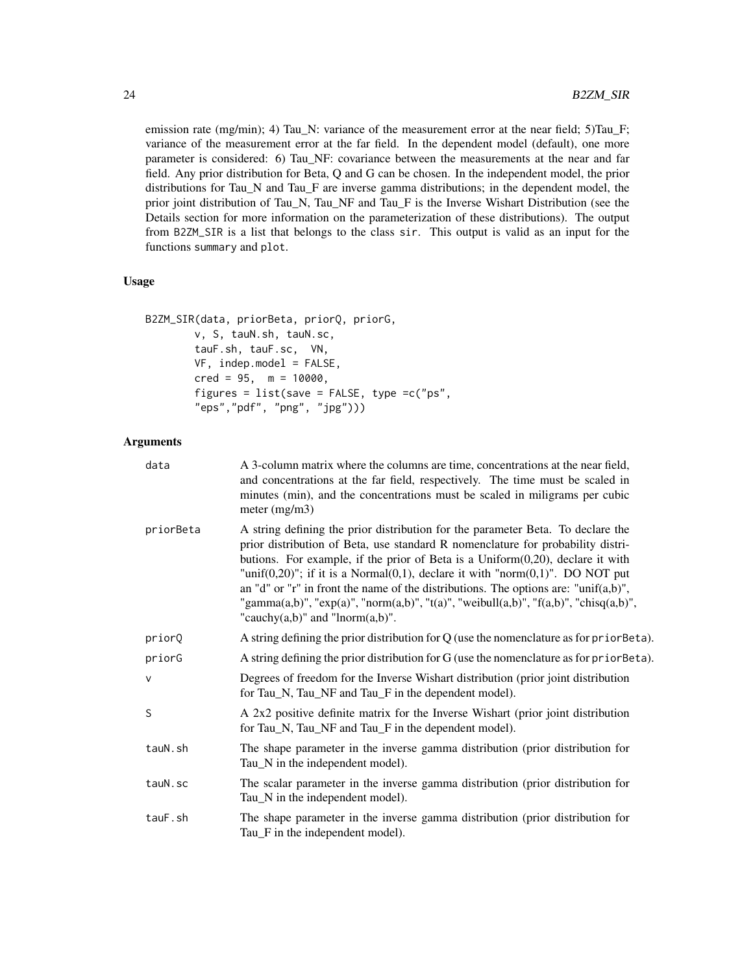emission rate (mg/min); 4) Tau\_N: variance of the measurement error at the near field; 5)Tau\_F; variance of the measurement error at the far field. In the dependent model (default), one more parameter is considered: 6) Tau\_NF: covariance between the measurements at the near and far field. Any prior distribution for Beta, Q and G can be chosen. In the independent model, the prior distributions for Tau\_N and Tau\_F are inverse gamma distributions; in the dependent model, the prior joint distribution of Tau\_N, Tau\_NF and Tau\_F is the Inverse Wishart Distribution (see the Details section for more information on the parameterization of these distributions). The output from B2ZM\_SIR is a list that belongs to the class sir. This output is valid as an input for the functions summary and plot.

## Usage

```
B2ZM_SIR(data, priorBeta, priorQ, priorG,
        v, S, tauN.sh, tauN.sc,
        tauF.sh, tauF.sc, VN,
        VF, indep.model = FALSE,
        \text{cred} = 95, m = 10000,
        figures = list(save = FALSE, type = c("ps","eps","pdf", "png", "jpg")))
```
# Arguments

| data      | A 3-column matrix where the columns are time, concentrations at the near field,<br>and concentrations at the far field, respectively. The time must be scaled in<br>minutes (min), and the concentrations must be scaled in miligrams per cubic<br>meter $(mg/m3)$                                                                                                                                                                                                                                                                                                                 |
|-----------|------------------------------------------------------------------------------------------------------------------------------------------------------------------------------------------------------------------------------------------------------------------------------------------------------------------------------------------------------------------------------------------------------------------------------------------------------------------------------------------------------------------------------------------------------------------------------------|
| priorBeta | A string defining the prior distribution for the parameter Beta. To declare the<br>prior distribution of Beta, use standard R nomenclature for probability distri-<br>butions. For example, if the prior of Beta is a $Uniform(0,20)$ , declare it with<br>"unif $(0,20)$ "; if it is a Normal $(0,1)$ , declare it with "norm $(0,1)$ ". DO NOT put<br>an "d" or "r" in front the name of the distributions. The options are: "unif $(a,b)$ ",<br>"gamma(a,b)", "exp(a)", "norm(a,b)", "t(a)", "weibull(a,b)", "f(a,b)", "chisq(a,b)",<br>"cauchy $(a,b)$ " and "lnorm $(a,b)$ ". |
| priorQ    | A string defining the prior distribution for $Q$ (use the nomenclature as for $priorBeta$ ).                                                                                                                                                                                                                                                                                                                                                                                                                                                                                       |
| priorG    | A string defining the prior distribution for G (use the nomenclature as for prior Beta).                                                                                                                                                                                                                                                                                                                                                                                                                                                                                           |
| V         | Degrees of freedom for the Inverse Wishart distribution (prior joint distribution<br>for Tau_N, Tau_NF and Tau_F in the dependent model).                                                                                                                                                                                                                                                                                                                                                                                                                                          |
| S         | A 2x2 positive definite matrix for the Inverse Wishart (prior joint distribution<br>for Tau_N, Tau_NF and Tau_F in the dependent model).                                                                                                                                                                                                                                                                                                                                                                                                                                           |
| tauN.sh   | The shape parameter in the inverse gamma distribution (prior distribution for<br>Tau_N in the independent model).                                                                                                                                                                                                                                                                                                                                                                                                                                                                  |
| tauN.sc   | The scalar parameter in the inverse gamma distribution (prior distribution for<br>Tau_N in the independent model).                                                                                                                                                                                                                                                                                                                                                                                                                                                                 |
| tauF.sh   | The shape parameter in the inverse gamma distribution (prior distribution for<br>Tau <sub>L</sub> F in the independent model).                                                                                                                                                                                                                                                                                                                                                                                                                                                     |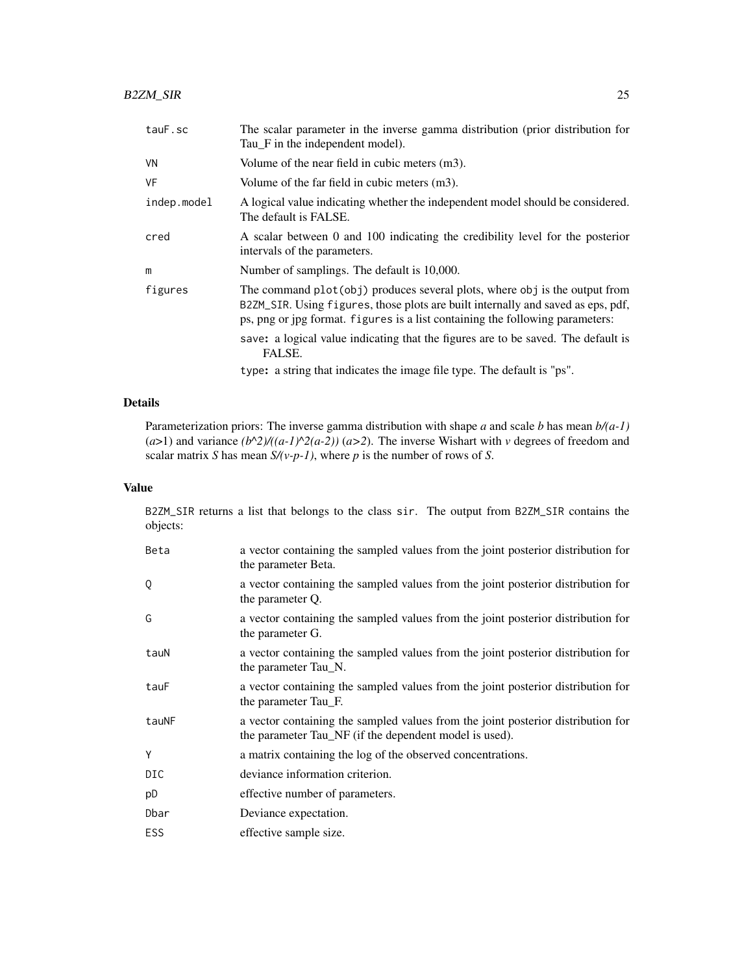| tauF.sc     | The scalar parameter in the inverse gamma distribution (prior distribution for<br>Tau <sub>F</sub> in the independent model).                                                                                                                    |
|-------------|--------------------------------------------------------------------------------------------------------------------------------------------------------------------------------------------------------------------------------------------------|
| VN          | Volume of the near field in cubic meters $(m3)$ .                                                                                                                                                                                                |
| VF          | Volume of the far field in cubic meters (m3).                                                                                                                                                                                                    |
| indep.model | A logical value indicating whether the independent model should be considered.<br>The default is FALSE.                                                                                                                                          |
| cred        | A scalar between 0 and 100 indicating the credibility level for the posterior<br>intervals of the parameters.                                                                                                                                    |
| m           | Number of samplings. The default is 10,000.                                                                                                                                                                                                      |
| figures     | The command plot (obj) produces several plots, where obj is the output from<br>B2ZM_SIR. Using figures, those plots are built internally and saved as eps, pdf,<br>ps, png or jpg format. figures is a list containing the following parameters: |
|             | save: a logical value indicating that the figures are to be saved. The default is<br>FALSE.                                                                                                                                                      |
|             | type: a string that indicates the image file type. The default is "ps".                                                                                                                                                                          |

# Details

Parameterization priors: The inverse gamma distribution with shape *a* and scale *b* has mean *b/(a-1)* ( $a$ >1) and variance  $(b^2)/((a-1)^2)(a-2)$ ) ( $a$ >2). The inverse Wishart with *v* degrees of freedom and scalar matrix *S* has mean *S/(v-p-1)*, where *p* is the number of rows of *S*.

# Value

B2ZM\_SIR returns a list that belongs to the class sir. The output from B2ZM\_SIR contains the objects:

| Beta       | a vector containing the sampled values from the joint posterior distribution for<br>the parameter Beta.                                    |
|------------|--------------------------------------------------------------------------------------------------------------------------------------------|
| Q          | a vector containing the sampled values from the joint posterior distribution for<br>the parameter Q.                                       |
| G          | a vector containing the sampled values from the joint posterior distribution for<br>the parameter G.                                       |
| tauN       | a vector containing the sampled values from the joint posterior distribution for<br>the parameter Tau N.                                   |
| tauF       | a vector containing the sampled values from the joint posterior distribution for<br>the parameter Tau_F.                                   |
| tauNF      | a vector containing the sampled values from the joint posterior distribution for<br>the parameter Tau_NF (if the dependent model is used). |
| Y          | a matrix containing the log of the observed concentrations.                                                                                |
| <b>DIC</b> | deviance information criterion.                                                                                                            |
| pD         | effective number of parameters.                                                                                                            |
| Dbar       | Deviance expectation.                                                                                                                      |
| <b>ESS</b> | effective sample size.                                                                                                                     |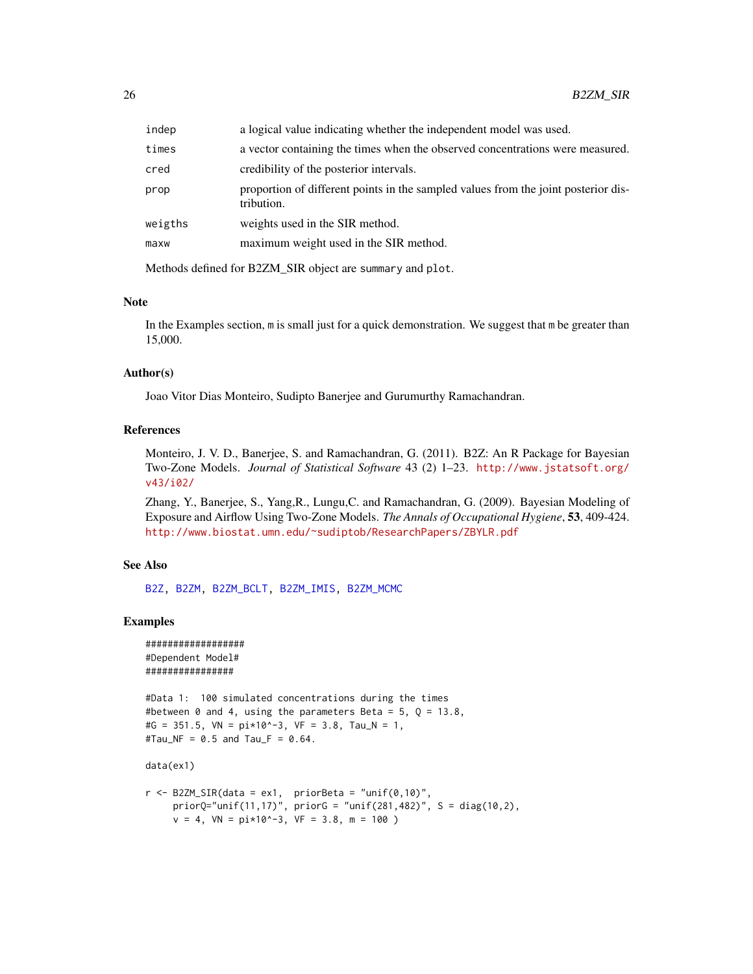<span id="page-25-0"></span>

| indep   | a logical value indicating whether the independent model was used.                               |
|---------|--------------------------------------------------------------------------------------------------|
| times   | a vector containing the times when the observed concentrations were measured.                    |
| cred    | credibility of the posterior intervals.                                                          |
| prop    | proportion of different points in the sampled values from the joint posterior dis-<br>tribution. |
| weigths | weights used in the SIR method.                                                                  |
| maxw    | maximum weight used in the SIR method.                                                           |
|         |                                                                                                  |

Methods defined for B2ZM\_SIR object are summary and plot.

## Note

In the Examples section, m is small just for a quick demonstration. We suggest that m be greater than 15,000.

## Author(s)

Joao Vitor Dias Monteiro, Sudipto Banerjee and Gurumurthy Ramachandran.

# References

Monteiro, J. V. D., Banerjee, S. and Ramachandran, G. (2011). B2Z: An R Package for Bayesian Two-Zone Models. *Journal of Statistical Software* 43 (2) 1–23. [http://www.jstatsoft.org/](http://www.jstatsoft.org/v43/i02/) [v43/i02/](http://www.jstatsoft.org/v43/i02/)

Zhang, Y., Banerjee, S., Yang,R., Lungu,C. and Ramachandran, G. (2009). Bayesian Modeling of Exposure and Airflow Using Two-Zone Models. *The Annals of Occupational Hygiene*, 53, 409-424. [http://www.biostat.umn.edu/~sudiptob/ResearchPapers/ZBYLR.pdf]( http://www.biostat.umn.edu/~sudiptob/ResearchPapers/ZBYLR.pdf)

# See Also

[B2Z,](#page-1-1) [B2ZM,](#page-2-1) [B2ZM\\_BCLT,](#page-9-1) [B2ZM\\_IMIS,](#page-13-1) [B2ZM\\_MCMC](#page-17-1)

#### Examples

```
##################
#Dependent Model#
################
```

```
#Data 1: 100 simulated concentrations during the times
#between 0 and 4, using the parameters Beta = 5, Q = 13.8,
#G = 351.5, VN = pi*10^{\circ}-3, VF = 3.8, Tau_N = 1,
#Tau_NF = 0.5 and Tau_F = 0.64.
```

```
data(ex1)
```

```
r < - B2ZM_SIR(data = ex1, priorBeta = "unif(0,10)",
     priorQ="unif(11,17)", priorG = "unif(281,482)", S = diag(10,2),
     v = 4, VN = pi*10^{\circ}-3, VF = 3.8, m = 100 )
```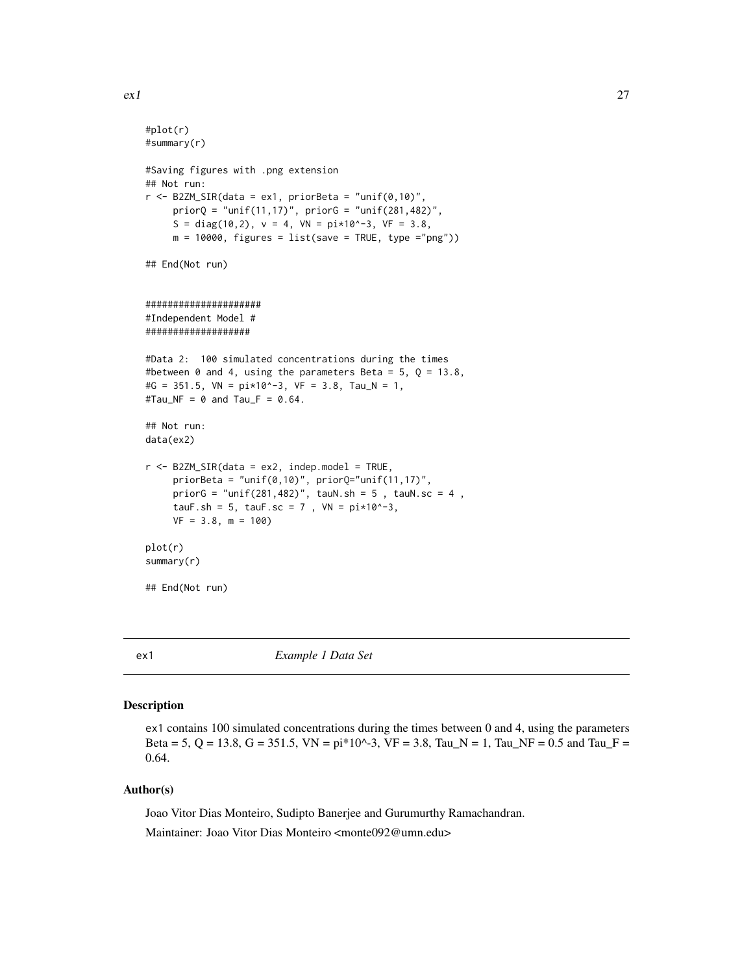```
#plot(r)
#summary(r)
#Saving figures with .png extension
## Not run:
r <- B2ZM_SIR(data = ex1, priorBeta = "unif(0,10)",
     priorQ = "unif(11,17)", priorG = "unif(281,482)',
     S = diag(10, 2), v = 4, VN = pi*10^{\circ}-3, VF = 3.8,
     m = 10000, figures = list(save = TRUE, type ="png"))
## End(Not run)
#####################
#Independent Model #
###################
#Data 2: 100 simulated concentrations during the times
#between 0 and 4, using the parameters Beta = 5, Q = 13.8,
#G = 351.5, VN = pi*10^{\circ}-3, VF = 3.8, Tau_N = 1,
#Tau_NF = 0 and Tau_F = 0.64.
## Not run:
data(ex2)
r <- B2ZM_SIR(data = ex2, indep.model = TRUE,
     priorBeta = "unif(0,10)", priorQ="unif(11,17)",
     priorG = "unif(281, 482)", tauN.sh = 5, tauN.sc = 4,tauF.sh = 5, tauF.sc = 7, VN = pi*10^{\circ}-3,
    VF = 3.8, m = 100plot(r)
summary(r)
## End(Not run)
```
<span id="page-26-1"></span>ex1 *Example 1 Data Set*

#### Description

ex1 contains 100 simulated concentrations during the times between 0 and 4, using the parameters Beta = 5, Q = 13.8, G = 351.5, VN =  $pi*10^{\circ}$ -3, VF = 3.8, Tau\_N = 1, Tau\_NF = 0.5 and Tau\_F = 0.64.

# Author(s)

Joao Vitor Dias Monteiro, Sudipto Banerjee and Gurumurthy Ramachandran.

Maintainer: Joao Vitor Dias Monteiro <monte092@umn.edu>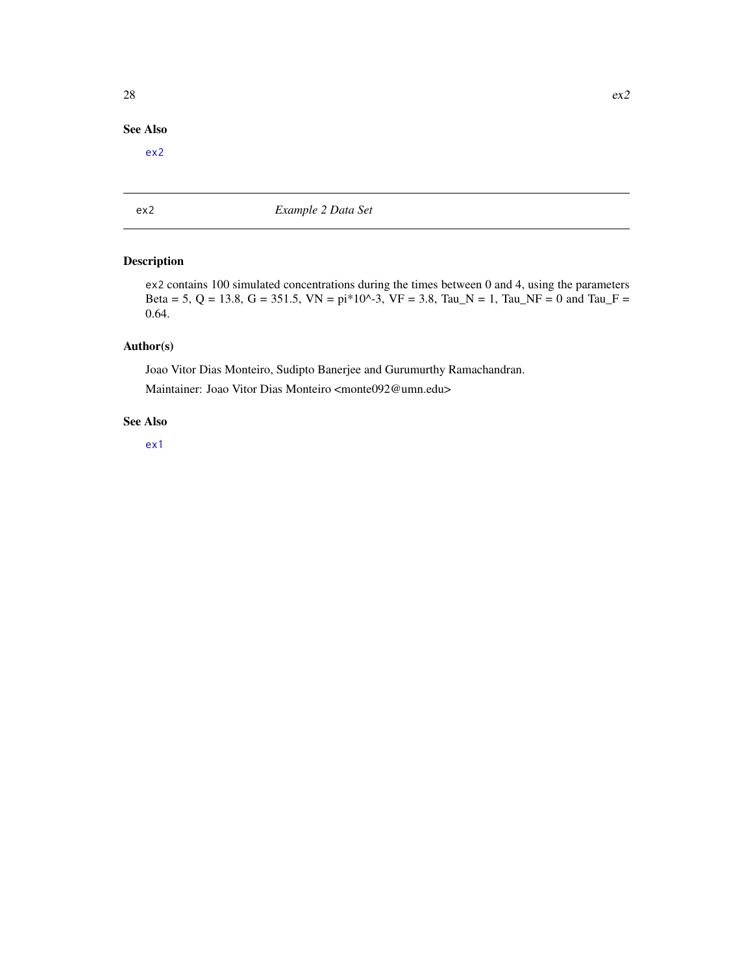# <span id="page-27-0"></span>See Also

[ex2](#page-27-1)

<span id="page-27-1"></span>ex2 *Example 2 Data Set*

# Description

ex2 contains 100 simulated concentrations during the times between 0 and 4, using the parameters Beta = 5, Q = 13.8, G = 351.5, VN = pi\*10^-3, VF = 3.8, Tau\_N = 1, Tau\_NF = 0 and Tau\_F = 0.64.

# Author(s)

Joao Vitor Dias Monteiro, Sudipto Banerjee and Gurumurthy Ramachandran. Maintainer: Joao Vitor Dias Monteiro <monte092@umn.edu>

# See Also

[ex1](#page-26-1)